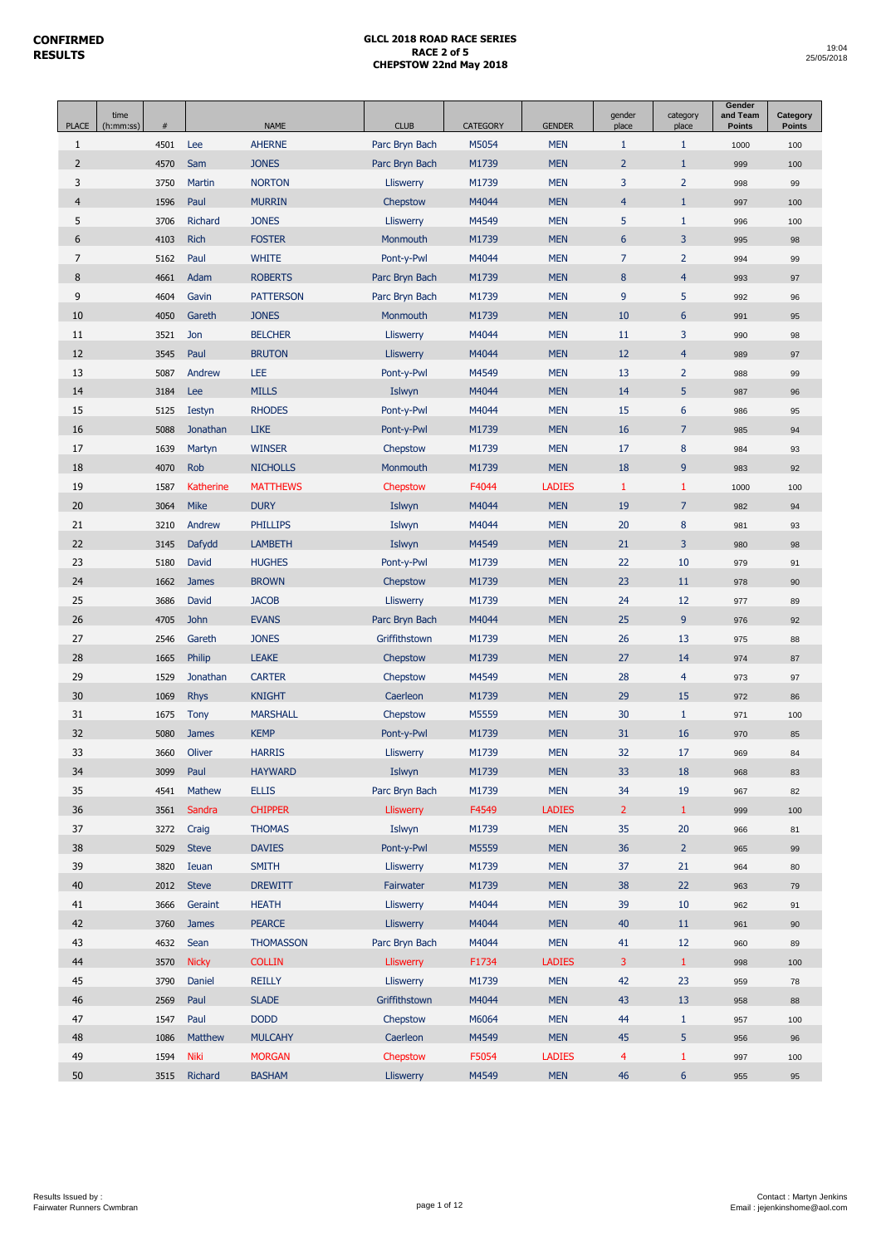| <b>PLACE</b>   | time<br>(h:mm:ss) | #    |                  | <b>NAME</b>      | <b>CLUB</b>      | CATEGORY | <b>GENDER</b> | gender<br>place | category<br>place | Gender<br>and Team<br><b>Points</b> | Category<br><b>Points</b> |
|----------------|-------------------|------|------------------|------------------|------------------|----------|---------------|-----------------|-------------------|-------------------------------------|---------------------------|
| $\mathbf{1}$   |                   | 4501 | Lee              | <b>AHERNE</b>    | Parc Bryn Bach   | M5054    | <b>MEN</b>    | $\mathbf{1}$    | $\mathbf{1}$      | 1000                                | 100                       |
| 2              |                   | 4570 | Sam              | <b>JONES</b>     | Parc Bryn Bach   | M1739    | <b>MEN</b>    | $\overline{2}$  | $\mathbf{1}$      | 999                                 | 100                       |
| 3              |                   | 3750 | Martin           | <b>NORTON</b>    | Lliswerry        | M1739    | <b>MEN</b>    | 3               | $\overline{2}$    | 998                                 | 99                        |
| $\overline{4}$ |                   | 1596 | Paul             | <b>MURRIN</b>    | Chepstow         | M4044    | <b>MEN</b>    | $\overline{4}$  | $\mathbf{1}$      | 997                                 | 100                       |
| 5              |                   | 3706 | Richard          | <b>JONES</b>     | Lliswerry        | M4549    | <b>MEN</b>    | 5               | $\mathbf{1}$      | 996                                 | 100                       |
| 6              |                   | 4103 | <b>Rich</b>      | <b>FOSTER</b>    | Monmouth         | M1739    | <b>MEN</b>    | 6               | 3                 | 995                                 | 98                        |
| $\overline{7}$ |                   | 5162 | Paul             | <b>WHITE</b>     | Pont-y-Pwl       | M4044    | <b>MEN</b>    | $\overline{7}$  | $\overline{2}$    | 994                                 | 99                        |
| 8              |                   | 4661 | Adam             | <b>ROBERTS</b>   | Parc Bryn Bach   | M1739    | <b>MEN</b>    | 8               | $\overline{4}$    | 993                                 | 97                        |
| 9              |                   | 4604 | Gavin            | <b>PATTERSON</b> | Parc Bryn Bach   | M1739    | <b>MEN</b>    | 9               | 5                 | 992                                 | 96                        |
| 10             |                   | 4050 | Gareth           | <b>JONES</b>     | Monmouth         | M1739    | <b>MEN</b>    | 10              | $6\phantom{1}$    | 991                                 | 95                        |
| 11             |                   | 3521 | Jon              | <b>BELCHER</b>   | Lliswerry        | M4044    | <b>MEN</b>    | 11              | 3                 | 990                                 | 98                        |
| 12             |                   | 3545 | Paul             | <b>BRUTON</b>    | Lliswerry        | M4044    | <b>MEN</b>    | 12              | $\overline{4}$    | 989                                 | 97                        |
| 13             |                   | 5087 | Andrew           | LEE              | Pont-y-Pwl       | M4549    | <b>MEN</b>    | 13              | $\overline{2}$    | 988                                 | 99                        |
| 14             |                   | 3184 | Lee              | <b>MILLS</b>     | Islwyn           | M4044    | <b>MEN</b>    | 14              | 5                 | 987                                 | 96                        |
| 15             |                   | 5125 | <b>Iestyn</b>    | <b>RHODES</b>    | Pont-y-Pwl       | M4044    | <b>MEN</b>    | 15              | $6\,$             | 986                                 | 95                        |
| 16             |                   | 5088 | Jonathan         | <b>LIKE</b>      | Pont-y-Pwl       | M1739    | <b>MEN</b>    | 16              | $\overline{7}$    | 985                                 | 94                        |
| 17             |                   | 1639 | Martyn           | <b>WINSER</b>    | Chepstow         | M1739    | <b>MEN</b>    | 17              | $\bf 8$           | 984                                 | 93                        |
| 18             |                   | 4070 | Rob              | <b>NICHOLLS</b>  | Monmouth         | M1739    | <b>MEN</b>    | 18              | 9                 | 983                                 | 92                        |
| 19             |                   | 1587 | <b>Katherine</b> | <b>MATTHEWS</b>  | Chepstow         | F4044    | <b>LADIES</b> | $\mathbf{1}$    | $\mathbf{1}$      | 1000                                | 100                       |
| 20             |                   | 3064 | <b>Mike</b>      | <b>DURY</b>      | Islwyn           | M4044    | <b>MEN</b>    | 19              | $\overline{7}$    | 982                                 | 94                        |
| 21             |                   | 3210 | Andrew           | <b>PHILLIPS</b>  | Islwyn           | M4044    | <b>MEN</b>    | 20              | $\bf 8$           | 981                                 | 93                        |
| 22             |                   | 3145 | Dafydd           | <b>LAMBETH</b>   | Islwyn           | M4549    | <b>MEN</b>    | 21              | 3                 | 980                                 | 98                        |
| 23             |                   | 5180 | David            | <b>HUGHES</b>    | Pont-y-Pwl       | M1739    | <b>MEN</b>    | 22              | 10                | 979                                 | 91                        |
| 24             |                   | 1662 | <b>James</b>     | <b>BROWN</b>     | Chepstow         | M1739    | <b>MEN</b>    | 23              | 11                | 978                                 | 90                        |
| 25             |                   | 3686 | David            | <b>JACOB</b>     | Lliswerry        | M1739    | <b>MEN</b>    | 24              | 12                | 977                                 | 89                        |
| 26             |                   | 4705 | <b>John</b>      | <b>EVANS</b>     | Parc Bryn Bach   | M4044    | <b>MEN</b>    | 25              | $\overline{9}$    | 976                                 | 92                        |
| 27             |                   | 2546 | Gareth           | <b>JONES</b>     | Griffithstown    | M1739    | <b>MEN</b>    | 26              | 13                | 975                                 | 88                        |
| 28             |                   | 1665 | Philip           | <b>LEAKE</b>     | Chepstow         | M1739    | <b>MEN</b>    | 27              | 14                | 974                                 | 87                        |
| 29             |                   | 1529 | Jonathan         | <b>CARTER</b>    | Chepstow         | M4549    | <b>MEN</b>    | 28              | $\overline{4}$    | 973                                 | 97                        |
| 30             |                   | 1069 | <b>Rhys</b>      | <b>KNIGHT</b>    | Caerleon         | M1739    | <b>MEN</b>    | 29              | 15                | 972                                 | 86                        |
| 31             |                   | 1675 | <b>Tony</b>      | <b>MARSHALL</b>  | Chepstow         | M5559    | <b>MEN</b>    | 30              | $\mathbf{1}$      | 971                                 | 100                       |
| 32             |                   | 5080 | <b>James</b>     | <b>KEMP</b>      | Pont-y-Pwl       | M1739    | <b>MEN</b>    | 31              | 16                | 970                                 | 85                        |
| 33             |                   | 3660 | Oliver           | <b>HARRIS</b>    | Lliswerry        | M1739    | <b>MEN</b>    | 32              | 17                | 969                                 | 84                        |
| 34             |                   | 3099 | Paul             | <b>HAYWARD</b>   | Islwyn           | M1739    | <b>MEN</b>    | 33              | 18                | 968                                 | 83                        |
| 35             |                   | 4541 | Mathew           | <b>ELLIS</b>     | Parc Bryn Bach   | M1739    | <b>MEN</b>    | 34              | 19                | 967                                 | 82                        |
| 36             |                   | 3561 | Sandra           | <b>CHIPPER</b>   | <b>Lliswerry</b> | F4549    | <b>LADIES</b> | $2^{\circ}$     | $\mathbf{1}$      | 999                                 | 100                       |
| 37             |                   | 3272 | Craig            | <b>THOMAS</b>    | Islwyn           | M1739    | <b>MEN</b>    | 35              | $20\,$            | 966                                 | 81                        |
| 38             |                   | 5029 | <b>Steve</b>     | <b>DAVIES</b>    | Pont-y-Pwl       | M5559    | <b>MEN</b>    | 36              | $\overline{2}$    | 965                                 | 99                        |
| 39             |                   | 3820 | Ieuan            | <b>SMITH</b>     | Lliswerry        | M1739    | <b>MEN</b>    | 37              | 21                | 964                                 | 80                        |
| 40             |                   | 2012 | <b>Steve</b>     | <b>DREWITT</b>   | Fairwater        | M1739    | <b>MEN</b>    | 38              | 22                | 963                                 | 79                        |
| 41             |                   | 3666 | Geraint          | <b>HEATH</b>     | Lliswerry        | M4044    | <b>MEN</b>    | 39              | 10                | 962                                 | 91                        |
| 42             |                   | 3760 | James            | <b>PEARCE</b>    | Lliswerry        | M4044    | <b>MEN</b>    | 40              | 11                | 961                                 | 90                        |
| 43             |                   | 4632 | Sean             | <b>THOMASSON</b> | Parc Bryn Bach   | M4044    | <b>MEN</b>    | 41              | 12                | 960                                 | 89                        |
| 44             |                   | 3570 | <b>Nicky</b>     | <b>COLLIN</b>    | <b>Lliswerry</b> | F1734    | <b>LADIES</b> | $\overline{3}$  | $\mathbf{1}$      | 998                                 | 100                       |
| 45             |                   | 3790 | Daniel           | <b>REILLY</b>    | Lliswerry        | M1739    | <b>MEN</b>    | 42              | 23                | 959                                 | 78                        |
| 46             |                   | 2569 | Paul             | <b>SLADE</b>     | Griffithstown    | M4044    | <b>MEN</b>    | 43              | 13                | 958                                 | 88                        |
| 47             |                   | 1547 | Paul             | <b>DODD</b>      | Chepstow         | M6064    | <b>MEN</b>    | 44              | $\mathbf{1}$      | 957                                 | 100                       |
| 48             |                   | 1086 | Matthew          | <b>MULCAHY</b>   | Caerleon         | M4549    | <b>MEN</b>    | 45              | 5                 | 956                                 | 96                        |
| 49             |                   | 1594 | <b>Niki</b>      | <b>MORGAN</b>    | Chepstow         | F5054    | <b>LADIES</b> | $\overline{4}$  | $\mathbf{1}$      | 997                                 | 100                       |
| 50             |                   | 3515 | Richard          | <b>BASHAM</b>    | <b>Lliswerry</b> | M4549    | <b>MEN</b>    | 46              | $6\phantom{1}$    | 955                                 | 95                        |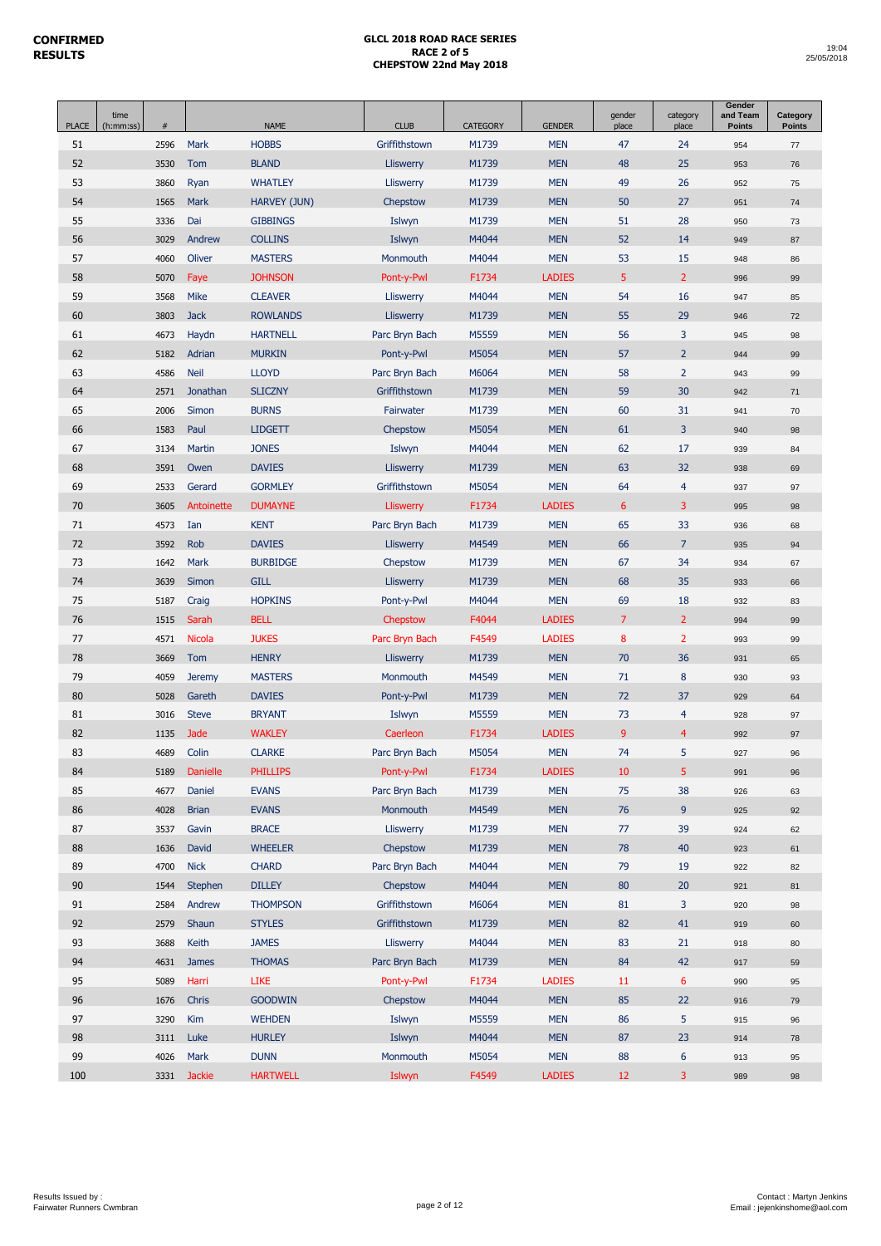| <b>PLACE</b> | time<br>(h:mm:ss) | $\#$ |                 | <b>NAME</b>         | <b>CLUB</b>      | <b>CATEGORY</b> | <b>GENDER</b> | gender<br>place | category<br>place | Gender<br>and Team<br><b>Points</b> | Category<br><b>Points</b> |
|--------------|-------------------|------|-----------------|---------------------|------------------|-----------------|---------------|-----------------|-------------------|-------------------------------------|---------------------------|
| 51           |                   | 2596 | Mark            | <b>HOBBS</b>        | Griffithstown    | M1739           | <b>MEN</b>    | 47              | 24                | 954                                 | 77                        |
| 52           |                   | 3530 | Tom             | <b>BLAND</b>        | <b>Lliswerry</b> | M1739           | <b>MEN</b>    | 48              | 25                | 953                                 | 76                        |
| 53           |                   | 3860 | Ryan            | <b>WHATLEY</b>      | Lliswerry        | M1739           | <b>MEN</b>    | 49              | 26                | 952                                 | 75                        |
| 54           |                   | 1565 | Mark            | <b>HARVEY (JUN)</b> | Chepstow         | M1739           | <b>MEN</b>    | 50              | 27                | 951                                 | 74                        |
| 55           |                   | 3336 | Dai             | <b>GIBBINGS</b>     | Islwyn           | M1739           | <b>MEN</b>    | 51              | 28                | 950                                 | 73                        |
| 56           |                   | 3029 | Andrew          | <b>COLLINS</b>      | Islwyn           | M4044           | <b>MEN</b>    | 52              | 14                | 949                                 | 87                        |
| 57           |                   | 4060 | Oliver          | <b>MASTERS</b>      | Monmouth         | M4044           | <b>MEN</b>    | 53              | 15                | 948                                 | 86                        |
| 58           |                   | 5070 | Faye            | <b>JOHNSON</b>      | Pont-y-Pwl       | F1734           | <b>LADIES</b> | $\overline{5}$  | $\overline{2}$    | 996                                 | 99                        |
| 59           |                   | 3568 | Mike            | <b>CLEAVER</b>      | Lliswerry        | M4044           | <b>MEN</b>    | 54              | 16                | 947                                 | 85                        |
| 60           |                   | 3803 | <b>Jack</b>     | <b>ROWLANDS</b>     | <b>Lliswerry</b> | M1739           | <b>MEN</b>    | 55              | 29                | 946                                 | $72\,$                    |
| 61           |                   | 4673 | Haydn           | <b>HARTNELL</b>     | Parc Bryn Bach   | M5559           | <b>MEN</b>    | 56              | 3                 | 945                                 | 98                        |
| 62           |                   | 5182 | Adrian          | <b>MURKIN</b>       | Pont-y-Pwl       | M5054           | <b>MEN</b>    | 57              | $\overline{2}$    | 944                                 | 99                        |
| 63           |                   | 4586 | <b>Neil</b>     | <b>LLOYD</b>        | Parc Bryn Bach   | M6064           | <b>MEN</b>    | 58              | $\overline{2}$    | 943                                 | 99                        |
| 64           |                   | 2571 | Jonathan        | <b>SLICZNY</b>      | Griffithstown    | M1739           | <b>MEN</b>    | 59              | 30                | 942                                 | 71                        |
| 65           |                   | 2006 | Simon           | <b>BURNS</b>        | Fairwater        | M1739           | <b>MEN</b>    | 60              | 31                | 941                                 | 70                        |
| 66           |                   | 1583 | Paul            | <b>LIDGETT</b>      | Chepstow         | M5054           | <b>MEN</b>    | 61              | 3                 | 940                                 | 98                        |
| 67           |                   | 3134 | Martin          | <b>JONES</b>        | Islwyn           | M4044           | <b>MEN</b>    | 62              | 17                | 939                                 | 84                        |
| 68           |                   | 3591 | Owen            | <b>DAVIES</b>       | <b>Lliswerry</b> | M1739           | <b>MEN</b>    | 63              | 32                | 938                                 | 69                        |
| 69           |                   | 2533 | Gerard          | <b>GORMLEY</b>      | Griffithstown    | M5054           | <b>MEN</b>    | 64              | $\overline{4}$    | 937                                 | 97                        |
| 70           |                   | 3605 | Antoinette      | <b>DUMAYNE</b>      | <b>Lliswerry</b> | F1734           | <b>LADIES</b> | $6\phantom{1}$  | 3                 | 995                                 | 98                        |
| 71           |                   | 4573 | Ian             | <b>KENT</b>         | Parc Bryn Bach   | M1739           | <b>MEN</b>    | 65              | 33                | 936                                 | 68                        |
| 72           |                   | 3592 | <b>Rob</b>      | <b>DAVIES</b>       | <b>Lliswerry</b> | M4549           | <b>MEN</b>    | 66              | $\overline{7}$    | 935                                 | 94                        |
| 73           |                   | 1642 | Mark            | <b>BURBIDGE</b>     | Chepstow         | M1739           | <b>MEN</b>    | 67              | 34                | 934                                 | 67                        |
| 74           |                   | 3639 | <b>Simon</b>    | <b>GILL</b>         | <b>Lliswerry</b> | M1739           | <b>MEN</b>    | 68              | 35                | 933                                 | 66                        |
| 75           |                   | 5187 | Craig           | <b>HOPKINS</b>      | Pont-y-Pwl       | M4044           | <b>MEN</b>    | 69              | 18                | 932                                 | 83                        |
| 76           |                   | 1515 | Sarah           | <b>BELL</b>         | Chepstow         | F4044           | <b>LADIES</b> | $\overline{7}$  | $\overline{2}$    | 994                                 | 99                        |
| 77           |                   | 4571 | <b>Nicola</b>   | <b>JUKES</b>        | Parc Bryn Bach   | F4549           | <b>LADIES</b> | 8               | $\overline{2}$    | 993                                 | 99                        |
| 78           |                   | 3669 | Tom             | <b>HENRY</b>        | <b>Lliswerry</b> | M1739           | <b>MEN</b>    | 70              | 36                | 931                                 | 65                        |
| 79           |                   | 4059 | <b>Jeremy</b>   | <b>MASTERS</b>      | Monmouth         | M4549           | <b>MEN</b>    | 71              | 8                 | 930                                 | 93                        |
| 80           |                   | 5028 | Gareth          | <b>DAVIES</b>       | Pont-y-Pwl       | M1739           | <b>MEN</b>    | 72              | 37                | 929                                 | 64                        |
| 81           |                   | 3016 | <b>Steve</b>    | <b>BRYANT</b>       | Islwyn           | M5559           | <b>MEN</b>    | 73              | 4                 | 928                                 | 97                        |
| 82           |                   | 1135 | <b>Jade</b>     | <b>WAKLEY</b>       | Caerleon         | F1734           | <b>LADIES</b> | $\overline{9}$  | $\overline{4}$    | 992                                 | 97                        |
| 83           |                   | 4689 | Colin           | <b>CLARKE</b>       | Parc Bryn Bach   | M5054           | <b>MEN</b>    | 74              | 5                 | 927                                 | 96                        |
| 84           |                   | 5189 | <b>Danielle</b> | <b>PHILLIPS</b>     | Pont-y-Pwl       | F1734           | <b>LADIES</b> | 10              | 5                 | 991                                 | 96                        |
| 85           |                   | 4677 | Daniel          | <b>EVANS</b>        | Parc Bryn Bach   | M1739           | <b>MEN</b>    | 75              | 38                | 926                                 | 63                        |
| 86           |                   | 4028 | <b>Brian</b>    | <b>EVANS</b>        | Monmouth         | M4549           | <b>MEN</b>    | 76              | 9                 | 925                                 | 92                        |
| 87           |                   | 3537 | Gavin           | <b>BRACE</b>        | Lliswerry        | M1739           | <b>MEN</b>    | 77              | 39                | 924                                 | 62                        |
| 88           |                   | 1636 | David           | <b>WHEELER</b>      | Chepstow         | M1739           | <b>MEN</b>    | 78              | 40                | 923                                 | 61                        |
| 89           |                   | 4700 | <b>Nick</b>     | <b>CHARD</b>        | Parc Bryn Bach   | M4044           | <b>MEN</b>    | 79              | 19                | 922                                 | 82                        |
| 90           |                   | 1544 | Stephen         | <b>DILLEY</b>       | Chepstow         | M4044           | <b>MEN</b>    | 80              | 20                | 921                                 | 81                        |
| 91           |                   | 2584 | Andrew          | <b>THOMPSON</b>     | Griffithstown    | M6064           | <b>MEN</b>    | 81              | 3                 | 920                                 | 98                        |
| 92           |                   | 2579 | Shaun           | <b>STYLES</b>       | Griffithstown    | M1739           | <b>MEN</b>    | 82              | 41                | 919                                 | 60                        |
| 93           |                   | 3688 | Keith           | <b>JAMES</b>        | Lliswerry        | M4044           | <b>MEN</b>    | 83              | 21                | 918                                 | 80                        |
| 94           |                   | 4631 | <b>James</b>    | <b>THOMAS</b>       | Parc Bryn Bach   | M1739           | <b>MEN</b>    | 84              | 42                | 917                                 | 59                        |
| 95           |                   | 5089 | Harri           | LIKE                | Pont-y-Pwl       | F1734           | <b>LADIES</b> | 11              | 6                 | 990                                 | 95                        |
| 96           |                   | 1676 | Chris           | <b>GOODWIN</b>      | Chepstow         | M4044           | <b>MEN</b>    | 85              | 22                | 916                                 | 79                        |
| 97           |                   | 3290 | Kim             | <b>WEHDEN</b>       | Islwyn           | M5559           | <b>MEN</b>    | 86              | 5                 | 915                                 | 96                        |
| 98           |                   | 3111 | Luke            | <b>HURLEY</b>       | Islwyn           | M4044           | <b>MEN</b>    | 87              | 23                | 914                                 | 78                        |
| 99           |                   | 4026 | Mark            | <b>DUNN</b>         | Monmouth         | M5054           | <b>MEN</b>    | 88              | 6                 | 913                                 | 95                        |
| 100          |                   |      | 3331 Jackie     | <b>HARTWELL</b>     | Islwyn           | F4549           | <b>LADIES</b> | 12 <sup>2</sup> | 3                 | 989                                 | 98                        |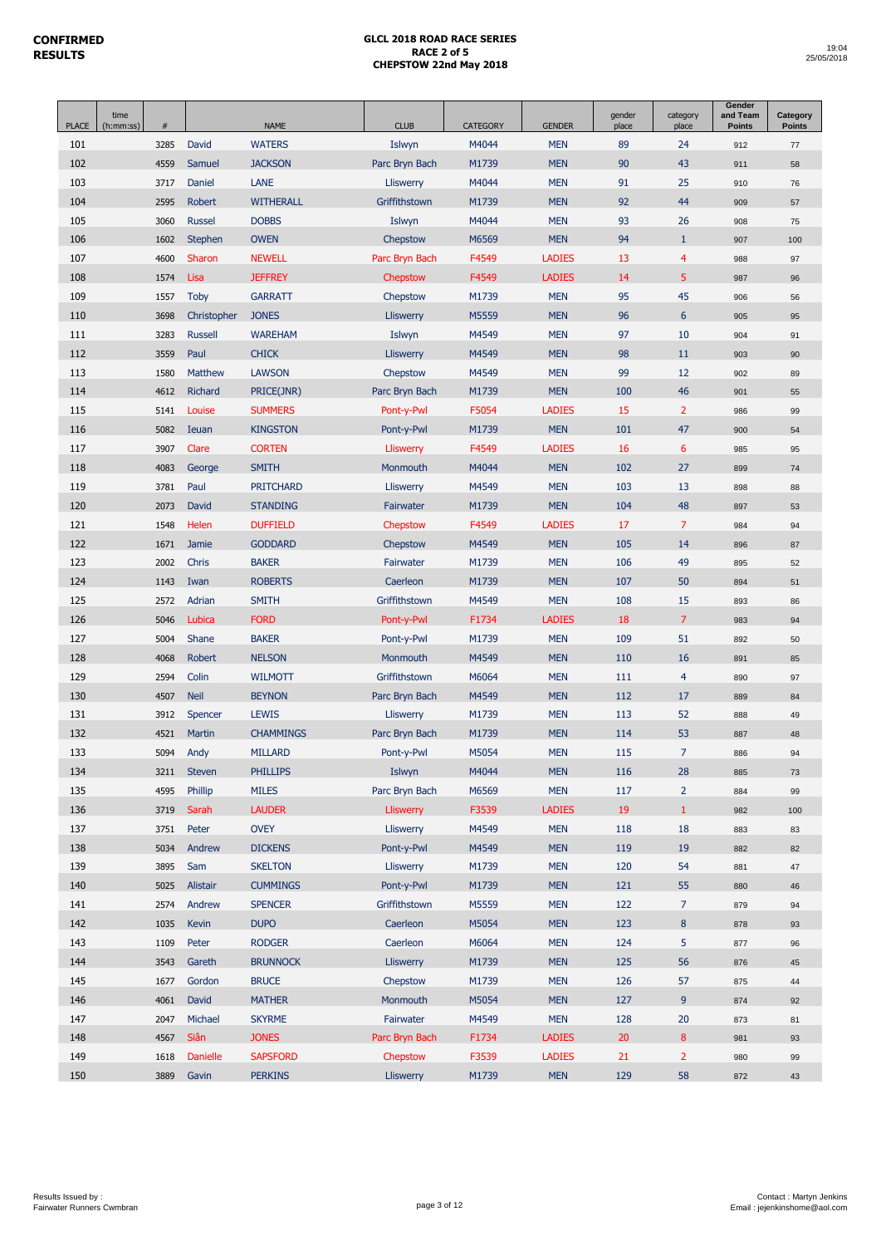| <b>PLACE</b> | time<br>(h:mm:ss) | #    |                 | <b>NAME</b>      | <b>CLUB</b>      | <b>CATEGORY</b> | <b>GENDER</b> | gender<br>place | category<br>place | Gender<br>and Team<br><b>Points</b> | Category<br><b>Points</b> |
|--------------|-------------------|------|-----------------|------------------|------------------|-----------------|---------------|-----------------|-------------------|-------------------------------------|---------------------------|
| 101          |                   | 3285 | David           | <b>WATERS</b>    | Islwyn           | M4044           | <b>MEN</b>    | 89              | 24                | 912                                 | 77                        |
| 102          |                   | 4559 | Samuel          | <b>JACKSON</b>   | Parc Bryn Bach   | M1739           | <b>MEN</b>    | 90              | 43                | 911                                 | 58                        |
| 103          |                   | 3717 | Daniel          | LANE             | Lliswerry        | M4044           | <b>MEN</b>    | 91              | 25                | 910                                 | 76                        |
| 104          |                   | 2595 | <b>Robert</b>   | <b>WITHERALL</b> | Griffithstown    | M1739           | <b>MEN</b>    | 92              | 44                | 909                                 | 57                        |
| 105          |                   | 3060 | <b>Russel</b>   | <b>DOBBS</b>     | Islwyn           | M4044           | <b>MEN</b>    | 93              | 26                | 908                                 | 75                        |
| 106          |                   | 1602 | Stephen         | <b>OWEN</b>      | Chepstow         | M6569           | <b>MEN</b>    | 94              | $\mathbf{1}$      | 907                                 | 100                       |
| 107          |                   | 4600 | Sharon          | <b>NEWELL</b>    | Parc Bryn Bach   | F4549           | <b>LADIES</b> | 13              | $\overline{4}$    | 988                                 | 97                        |
| 108          |                   | 1574 | Lisa            | <b>JEFFREY</b>   | Chepstow         | F4549           | <b>LADIES</b> | 14              | 5                 | 987                                 | 96                        |
| 109          |                   | 1557 | Toby            | <b>GARRATT</b>   | Chepstow         | M1739           | <b>MEN</b>    | 95              | 45                | 906                                 | 56                        |
| 110          |                   | 3698 | Christopher     | <b>JONES</b>     | Lliswerry        | M5559           | <b>MEN</b>    | 96              | $6\phantom{1}$    | 905                                 | 95                        |
| 111          |                   | 3283 | <b>Russell</b>  | <b>WAREHAM</b>   | Islwyn           | M4549           | <b>MEN</b>    | 97              | 10                | 904                                 | 91                        |
| 112          |                   | 3559 | Paul            | <b>CHICK</b>     | Lliswerry        | M4549           | <b>MEN</b>    | 98              | 11                | 903                                 | 90                        |
| 113          |                   | 1580 | Matthew         | <b>LAWSON</b>    | Chepstow         | M4549           | <b>MEN</b>    | 99              | 12                | 902                                 | 89                        |
| 114          |                   | 4612 | Richard         | PRICE(JNR)       | Parc Bryn Bach   | M1739           | <b>MEN</b>    | 100             | 46                | 901                                 | 55                        |
| 115          |                   | 5141 | Louise          | <b>SUMMERS</b>   | Pont-y-Pwl       | F5054           | <b>LADIES</b> | 15              | $\overline{2}$    | 986                                 | 99                        |
| 116          |                   | 5082 | Ieuan           | <b>KINGSTON</b>  | Pont-y-Pwl       | M1739           | <b>MEN</b>    | 101             | 47                | 900                                 | 54                        |
| 117          |                   | 3907 | Clare           | <b>CORTEN</b>    | Lliswerry        | F4549           | <b>LADIES</b> | 16              | $6\phantom{1}6$   | 985                                 | 95                        |
| 118          |                   | 4083 | George          | <b>SMITH</b>     | Monmouth         | M4044           | <b>MEN</b>    | 102             | 27                | 899                                 | 74                        |
| 119          |                   | 3781 | Paul            | <b>PRITCHARD</b> | Lliswerry        | M4549           | <b>MEN</b>    | 103             | 13                | 898                                 | 88                        |
| 120          |                   | 2073 | David           | <b>STANDING</b>  | Fairwater        | M1739           | <b>MEN</b>    | 104             | 48                | 897                                 | 53                        |
| 121          |                   | 1548 | Helen           | <b>DUFFIELD</b>  | Chepstow         | F4549           | <b>LADIES</b> | 17              | $\overline{7}$    | 984                                 | 94                        |
| 122          |                   | 1671 | Jamie           | <b>GODDARD</b>   | Chepstow         | M4549           | <b>MEN</b>    | 105             | 14                | 896                                 | 87                        |
| 123          |                   | 2002 | Chris           | <b>BAKER</b>     | Fairwater        | M1739           | <b>MEN</b>    | 106             | 49                | 895                                 | 52                        |
| 124          |                   | 1143 | Iwan            | <b>ROBERTS</b>   | Caerleon         | M1739           | <b>MEN</b>    | 107             | 50                | 894                                 | 51                        |
| 125          |                   | 2572 | Adrian          | <b>SMITH</b>     | Griffithstown    | M4549           | <b>MEN</b>    | 108             | 15                | 893                                 | 86                        |
| 126          |                   | 5046 | Lubica          | <b>FORD</b>      | Pont-y-Pwl       | F1734           | <b>LADIES</b> | 18              | $\overline{7}$    | 983                                 | 94                        |
| 127          |                   | 5004 | Shane           | <b>BAKER</b>     | Pont-y-Pwl       | M1739           | <b>MEN</b>    | 109             | 51                | 892                                 | 50                        |
| 128          |                   | 4068 | Robert          | <b>NELSON</b>    | Monmouth         | M4549           | <b>MEN</b>    | 110             | 16                | 891                                 | 85                        |
| 129          |                   | 2594 | Colin           | <b>WILMOTT</b>   | Griffithstown    | M6064           | <b>MEN</b>    | 111             | $\overline{4}$    | 890                                 | 97                        |
| 130          |                   | 4507 | <b>Neil</b>     | <b>BEYNON</b>    | Parc Bryn Bach   | M4549           | <b>MEN</b>    | 112             | 17                | 889                                 | 84                        |
| 131          |                   | 3912 | Spencer         | <b>LEWIS</b>     | Lliswerry        | M1739           | <b>MEN</b>    | 113             | 52                | 888                                 | 49                        |
| 132          |                   | 4521 | Martin          | <b>CHAMMINGS</b> | Parc Bryn Bach   | M1739           | <b>MEN</b>    | 114             | 53                | 887                                 | 48                        |
| 133          |                   | 5094 | Andy            | <b>MILLARD</b>   | Pont-y-Pwl       | M5054           | <b>MEN</b>    | 115             | 7                 | 886                                 | 94                        |
| 134          |                   | 3211 | <b>Steven</b>   | <b>PHILLIPS</b>  | Islwyn           | M4044           | <b>MEN</b>    | 116             | 28                | 885                                 | 73                        |
| 135          |                   | 4595 | Phillip         | <b>MILES</b>     | Parc Bryn Bach   | M6569           | <b>MEN</b>    | 117             | $\overline{2}$    | 884                                 | 99                        |
| 136          |                   | 3719 | Sarah           | <b>LAUDER</b>    | <b>Lliswerry</b> | F3539           | <b>LADIES</b> | 19              | $\mathbf{1}$      | 982                                 | 100                       |
| 137          |                   | 3751 | Peter           | <b>OVEY</b>      | Lliswerry        | M4549           | <b>MEN</b>    | 118             | 18                | 883                                 | 83                        |
| 138          |                   | 5034 | Andrew          | <b>DICKENS</b>   | Pont-y-Pwl       | M4549           | <b>MEN</b>    | 119             | 19                | 882                                 | 82                        |
| 139          |                   | 3895 | Sam             | <b>SKELTON</b>   | Lliswerry        | M1739           | <b>MEN</b>    | 120             | 54                | 881                                 | 47                        |
| 140          |                   | 5025 | Alistair        | <b>CUMMINGS</b>  | Pont-y-Pwl       | M1739           | <b>MEN</b>    | 121             | 55                | 880                                 | 46                        |
| 141          |                   | 2574 | Andrew          | <b>SPENCER</b>   | Griffithstown    | M5559           | <b>MEN</b>    | 122             | $\overline{7}$    | 879                                 | 94                        |
| 142          |                   | 1035 | Kevin           | <b>DUPO</b>      | Caerleon         | M5054           | <b>MEN</b>    | 123             | $\bf 8$           | 878                                 | 93                        |
| 143          |                   | 1109 | Peter           | <b>RODGER</b>    | Caerleon         | M6064           | <b>MEN</b>    | 124             | 5                 | 877                                 | 96                        |
| 144          |                   | 3543 | Gareth          | <b>BRUNNOCK</b>  | Lliswerry        | M1739           | <b>MEN</b>    | 125             | 56                | 876                                 | 45                        |
| 145          |                   | 1677 | Gordon          | <b>BRUCE</b>     | Chepstow         | M1739           | <b>MEN</b>    | 126             | 57                | 875                                 | 44                        |
| 146          |                   | 4061 | David           | <b>MATHER</b>    | Monmouth         | M5054           | <b>MEN</b>    | 127             | 9                 | 874                                 | 92                        |
| 147          |                   | 2047 | Michael         | <b>SKYRME</b>    | Fairwater        | M4549           | <b>MEN</b>    | 128             | 20                | 873                                 | 81                        |
| 148          |                   | 4567 | Siân            | <b>JONES</b>     | Parc Bryn Bach   | F1734           | <b>LADIES</b> | 20              | $\bf 8$           | 981                                 | 93                        |
| 149          |                   | 1618 | <b>Danielle</b> | <b>SAPSFORD</b>  | Chepstow         | F3539           | <b>LADIES</b> | 21              | $\overline{2}$    | 980                                 | 99                        |
| 150          |                   | 3889 | Gavin           | <b>PERKINS</b>   | Lliswerry        | M1739           | <b>MEN</b>    | 129             | 58                | 872                                 | 43                        |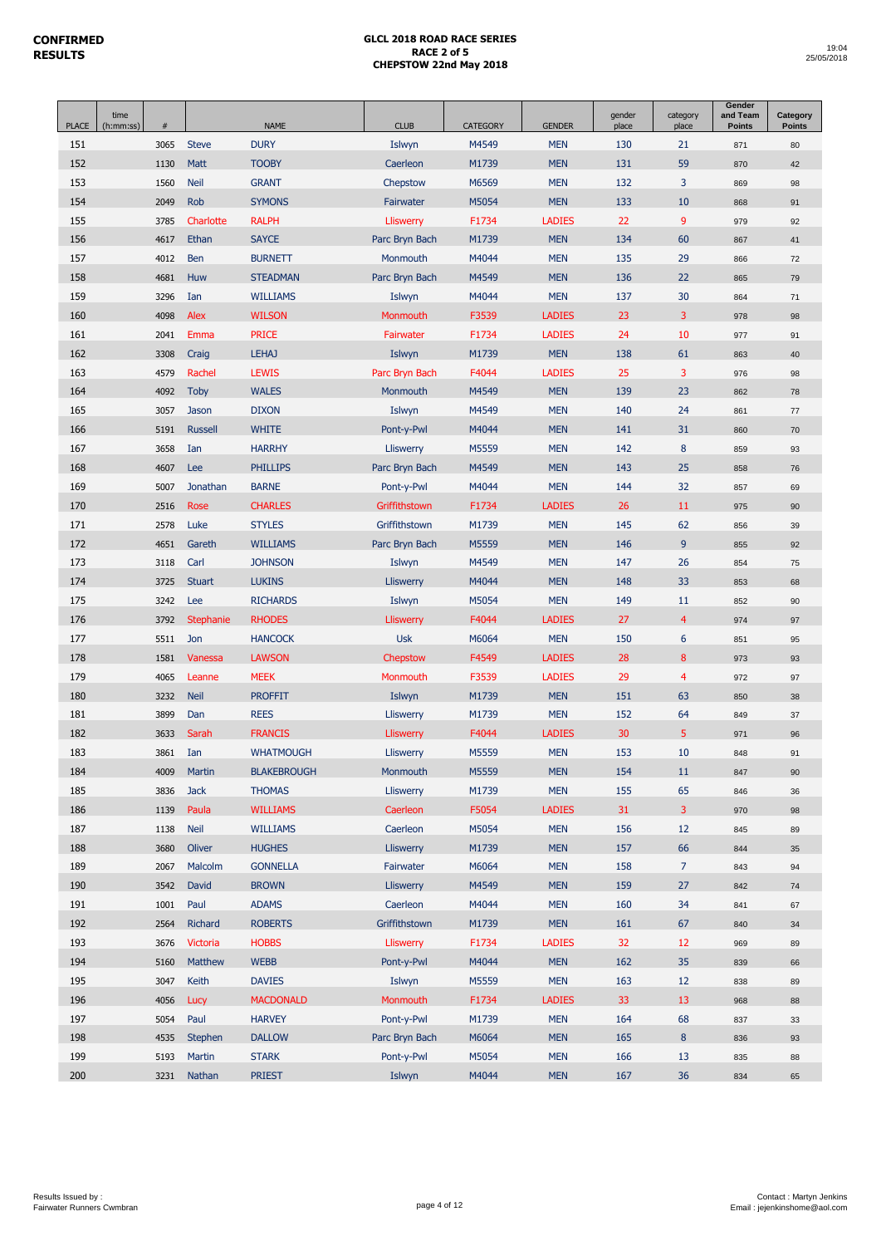| <b>PLACE</b> | time<br>(h:mm:ss) | $\#$         |                      | <b>NAME</b>                      | <b>CLUB</b>           | <b>CATEGORY</b> | <b>GENDER</b>               | gender<br>place | category<br>place | Gender<br>and Team<br><b>Points</b> | Category<br><b>Points</b> |
|--------------|-------------------|--------------|----------------------|----------------------------------|-----------------------|-----------------|-----------------------------|-----------------|-------------------|-------------------------------------|---------------------------|
| 151          |                   | 3065         | <b>Steve</b>         | <b>DURY</b>                      | Islwyn                | M4549           | <b>MEN</b>                  | 130             | 21                | 871                                 | 80                        |
| 152          |                   | 1130         | Matt                 | <b>TOOBY</b>                     | Caerleon              | M1739           | <b>MEN</b>                  | 131             | 59                | 870                                 | 42                        |
| 153          |                   | 1560         | <b>Neil</b>          | <b>GRANT</b>                     | Chepstow              | M6569           | <b>MEN</b>                  | 132             | 3                 | 869                                 | 98                        |
| 154          |                   | 2049         | Rob                  | <b>SYMONS</b>                    | Fairwater             | M5054           | <b>MEN</b>                  | 133             | 10                | 868                                 | 91                        |
| 155          |                   | 3785         | Charlotte            | <b>RALPH</b>                     | Lliswerry             | F1734           | <b>LADIES</b>               | 22              | 9                 | 979                                 | 92                        |
| 156          |                   | 4617         | Ethan                | <b>SAYCE</b>                     | Parc Bryn Bach        | M1739           | <b>MEN</b>                  | 134             | 60                | 867                                 | 41                        |
| 157          |                   | 4012         | Ben                  | <b>BURNETT</b>                   | Monmouth              | M4044           | <b>MEN</b>                  | 135             | 29                | 866                                 | 72                        |
| 158          |                   | 4681         | Huw                  | <b>STEADMAN</b>                  | Parc Bryn Bach        | M4549           | <b>MEN</b>                  | 136             | 22                | 865                                 | 79                        |
| 159          |                   | 3296         | Ian                  | <b>WILLIAMS</b>                  | Islwyn                | M4044           | <b>MEN</b>                  | 137             | 30                | 864                                 | 71                        |
| 160          |                   | 4098         | Alex                 | <b>WILSON</b>                    | Monmouth              | F3539           | <b>LADIES</b>               | 23              | 3                 | 978                                 | 98                        |
| 161          |                   | 2041         | Emma                 | <b>PRICE</b>                     | Fairwater             | F1734           | <b>LADIES</b>               | 24              | 10                | 977                                 | 91                        |
| 162          |                   | 3308         | Craig                | <b>LEHAJ</b>                     | Islwyn                | M1739           | <b>MEN</b>                  | 138             | 61                | 863                                 | 40                        |
| 163          |                   | 4579         | Rachel               | <b>LEWIS</b>                     | Parc Bryn Bach        | F4044           | <b>LADIES</b>               | 25              | 3                 | 976                                 | 98                        |
| 164          |                   | 4092         | <b>Toby</b>          | <b>WALES</b>                     | Monmouth              | M4549           | <b>MEN</b>                  | 139             | 23                | 862                                 | 78                        |
| 165          |                   | 3057         | Jason                | <b>DIXON</b>                     | Islwyn                | M4549           | <b>MEN</b>                  | 140             | 24                | 861                                 | 77                        |
| 166          |                   | 5191         | <b>Russell</b>       | <b>WHITE</b>                     | Pont-y-Pwl            | M4044           | <b>MEN</b>                  | 141             | 31                | 860                                 | 70                        |
| 167          |                   | 3658         | Ian                  | <b>HARRHY</b>                    | Lliswerry             | M5559           | <b>MEN</b>                  | 142             | $\bf 8$           | 859                                 | 93                        |
| 168          |                   | 4607         | <b>Lee</b>           | <b>PHILLIPS</b>                  | Parc Bryn Bach        | M4549           | <b>MEN</b>                  | 143             | 25                | 858                                 | 76                        |
| 169          |                   | 5007         | Jonathan             | <b>BARNE</b>                     | Pont-y-Pwl            | M4044           | <b>MEN</b>                  | 144             | 32                | 857                                 | 69                        |
| 170          |                   | 2516         | Rose                 | <b>CHARLES</b>                   | Griffithstown         | F1734           | <b>LADIES</b>               | 26              | 11                | 975                                 | 90                        |
| 171          |                   | 2578         | Luke                 | <b>STYLES</b>                    | Griffithstown         | M1739           | <b>MEN</b>                  | 145             | 62                | 856                                 | 39                        |
| 172          |                   | 4651         | Gareth               | <b>WILLIAMS</b>                  | Parc Bryn Bach        | M5559           | <b>MEN</b>                  | 146             | 9                 | 855                                 | 92                        |
| 173          |                   | 3118         | Carl                 | <b>JOHNSON</b>                   | Islwyn                | M4549           | <b>MEN</b>                  | 147             | 26                | 854                                 | 75                        |
| 174          |                   | 3725         | <b>Stuart</b>        | <b>LUKINS</b>                    | <b>Lliswerry</b>      | M4044           | <b>MEN</b>                  | 148             | 33                | 853                                 | 68                        |
| 175          |                   | 3242         | Lee                  | <b>RICHARDS</b>                  | Islwyn                | M5054           | <b>MEN</b>                  | 149             | 11                | 852                                 | 90                        |
| 176          |                   | 3792         | <b>Stephanie</b>     | <b>RHODES</b>                    | <b>Lliswerry</b>      | F4044           | <b>LADIES</b>               | 27              | $\overline{4}$    | 974                                 | 97                        |
| 177          |                   | 5511         | Jon                  | <b>HANCOCK</b>                   | <b>Usk</b>            | M6064           | <b>MEN</b>                  | 150             | 6                 | 851                                 | 95                        |
| 178          |                   | 1581         | Vanessa              | <b>LAWSON</b>                    | Chepstow              | F4549           | <b>LADIES</b>               | 28              | 8                 | 973                                 | 93                        |
| 179          |                   | 4065         | Leanne               | <b>MEEK</b>                      | Monmouth              | F3539           | <b>LADIES</b>               | 29              | $\overline{4}$    | 972                                 | 97                        |
| 180          |                   | 3232         | <b>Neil</b>          | <b>PROFFIT</b>                   | Islwyn                | M1739           | <b>MEN</b>                  | 151             | 63                | 850                                 | 38                        |
| 181          |                   | 3899         | Dan                  | <b>REES</b>                      | Lliswerry             | M1739           | <b>MEN</b>                  | 152             | 64                | 849                                 | 37                        |
| 182          |                   | 3633         | Sarah                | <b>FRANCIS</b>                   | Lliswerry             | F4044           | <b>LADIES</b>               | 30              | 5                 | 971                                 | 96                        |
| 183          |                   | 3861         | Ian                  | <b>WHATMOUGH</b>                 | Lliswerry             | M5559           | <b>MEN</b>                  | 153             | 10                | 848                                 | 91                        |
| 184          |                   | 4009         | Martin               | <b>BLAKEBROUGH</b>               | Monmouth              | M5559           | <b>MEN</b>                  | 154<br>155      | $11\,$<br>65      | 847                                 | 90                        |
| 185<br>186   |                   | 3836<br>1139 | <b>Jack</b><br>Paula | <b>THOMAS</b><br><b>WILLIAMS</b> | Lliswerry<br>Caerleon | M1739<br>F5054  | <b>MEN</b><br><b>LADIES</b> | 31              | 3                 | 846<br>970                          | 36<br>98                  |
| 187          |                   | 1138         | <b>Neil</b>          | <b>WILLIAMS</b>                  | Caerleon              | M5054           | <b>MEN</b>                  | 156             | 12                |                                     |                           |
| 188          |                   | 3680         | Oliver               | <b>HUGHES</b>                    | Lliswerry             | M1739           | <b>MEN</b>                  | 157             | 66                | 845<br>844                          | 89<br>35                  |
| 189          |                   | 2067         | Malcolm              | <b>GONNELLA</b>                  | Fairwater             | M6064           | <b>MEN</b>                  | 158             | 7 <sup>2</sup>    | 843                                 | 94                        |
| 190          |                   | 3542         | David                | <b>BROWN</b>                     | Lliswerry             | M4549           | <b>MEN</b>                  | 159             | 27                | 842                                 | 74                        |
| 191          |                   | 1001         | Paul                 | <b>ADAMS</b>                     | Caerleon              | M4044           | <b>MEN</b>                  | 160             | 34                | 841                                 | 67                        |
| 192          |                   | 2564         | Richard              | <b>ROBERTS</b>                   | Griffithstown         | M1739           | <b>MEN</b>                  | 161             | 67                | 840                                 | 34                        |
| 193          |                   | 3676         | Victoria             | <b>HOBBS</b>                     | <b>Lliswerry</b>      | F1734           | <b>LADIES</b>               | 32              | 12                | 969                                 | 89                        |
| 194          |                   | 5160         | Matthew              | <b>WEBB</b>                      | Pont-y-Pwl            | M4044           | <b>MEN</b>                  | 162             | 35                | 839                                 | 66                        |
| 195          |                   | 3047         | Keith                | <b>DAVIES</b>                    | Islwyn                | M5559           | <b>MEN</b>                  | 163             | 12                | 838                                 | 89                        |
| 196          |                   | 4056         | Lucy                 | <b>MACDONALD</b>                 | Monmouth              | F1734           | <b>LADIES</b>               | 33              | 13                | 968                                 | 88                        |
| 197          |                   | 5054         | Paul                 | <b>HARVEY</b>                    | Pont-y-Pwl            | M1739           | <b>MEN</b>                  | 164             | 68                | 837                                 | 33                        |
| 198          |                   | 4535         | Stephen              | <b>DALLOW</b>                    | Parc Bryn Bach        | M6064           | <b>MEN</b>                  | 165             | $\bf 8$           | 836                                 | 93                        |
| 199          |                   | 5193         | Martin               | <b>STARK</b>                     | Pont-y-Pwl            | M5054           | <b>MEN</b>                  | 166             | 13                | 835                                 | 88                        |
| 200          |                   | 3231         | Nathan               | <b>PRIEST</b>                    | Islwyn                | M4044           | <b>MEN</b>                  | 167             | 36                | 834                                 | 65                        |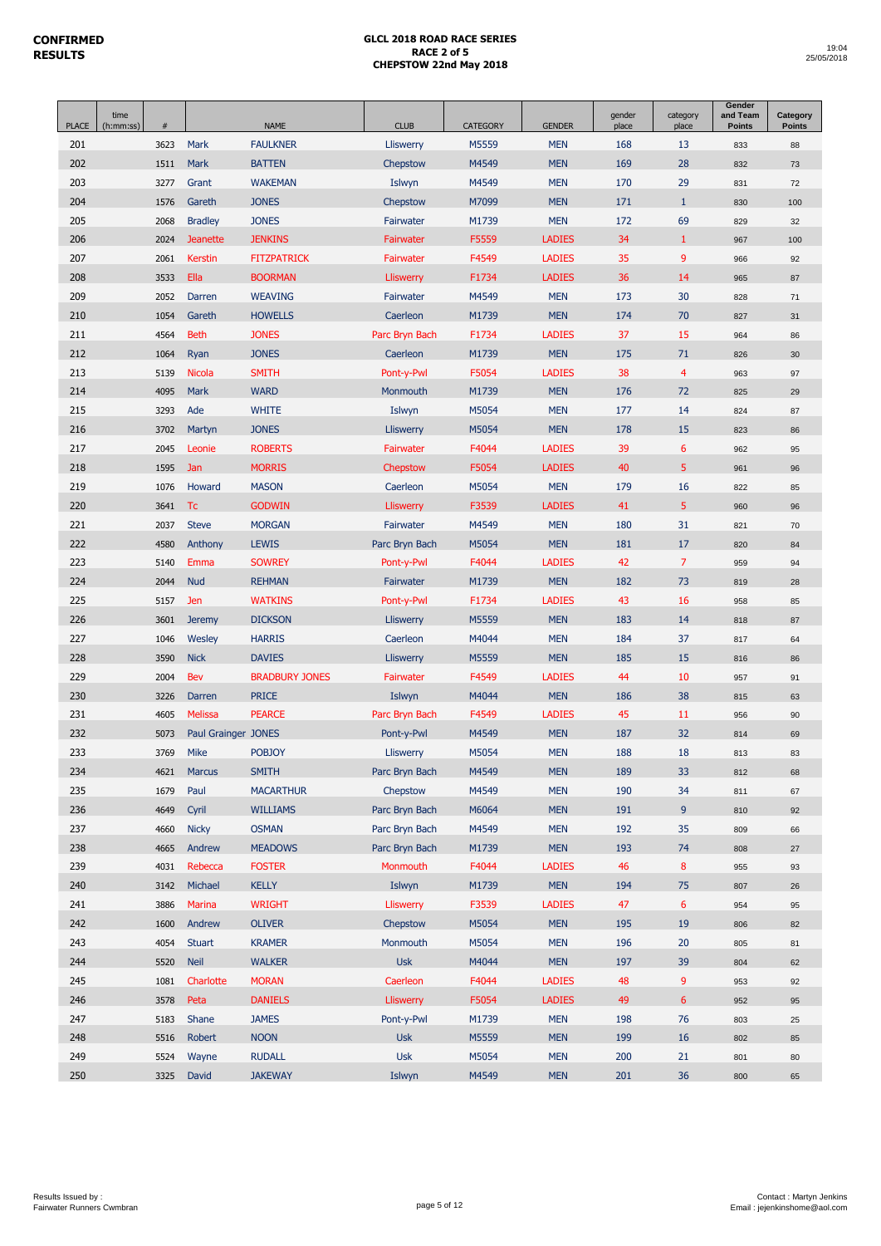| 201<br>3623<br>Mark<br><b>FAULKNER</b><br>M5559<br><b>MEN</b><br>168<br>13<br>Lliswerry<br>202<br>1511<br>Mark<br><b>BATTEN</b><br>M4549<br><b>MEN</b><br>169<br>28<br>Chepstow<br>203<br>M4549<br><b>MEN</b><br>170<br>29<br>3277<br>Grant<br><b>WAKEMAN</b><br>Islwyn<br>204<br><b>JONES</b><br>M7099<br><b>MEN</b><br>171<br>$\mathbf{1}$<br>1576<br>Gareth<br>Chepstow<br>205<br>2068<br><b>Bradley</b><br><b>JONES</b><br>Fairwater<br>M1739<br><b>MEN</b><br>172<br>69<br>206<br>2024<br><b>JENKINS</b><br>Fairwater<br>F5559<br><b>LADIES</b><br>34<br>$\mathbf{1}$<br><b>Jeanette</b><br>35<br>9<br>207<br>F4549<br>2061<br><b>Kerstin</b><br><b>FITZPATRICK</b><br><b>Fairwater</b><br><b>LADIES</b><br>208<br>3533<br>Ella<br><b>BOORMAN</b><br>F1734<br><b>LADIES</b><br>36<br>14<br><b>Lliswerry</b><br>209<br>173<br><b>WEAVING</b><br>M4549<br><b>MEN</b><br>30<br>2052<br>Darren<br>Fairwater<br>210<br>174<br>1054<br>Gareth<br><b>HOWELLS</b><br>Caerleon<br>M1739<br><b>MEN</b><br>70<br>211<br>4564<br><b>Beth</b><br><b>JONES</b><br>Parc Bryn Bach<br>F1734<br><b>LADIES</b><br>37<br>15 | 833<br>832<br>831<br>830<br>829<br>967<br>966<br>965<br>828<br>827<br>964 | 88<br>73<br>72<br>100<br>32<br>100<br>92<br>87<br>71<br>31<br>86 |
|---------------------------------------------------------------------------------------------------------------------------------------------------------------------------------------------------------------------------------------------------------------------------------------------------------------------------------------------------------------------------------------------------------------------------------------------------------------------------------------------------------------------------------------------------------------------------------------------------------------------------------------------------------------------------------------------------------------------------------------------------------------------------------------------------------------------------------------------------------------------------------------------------------------------------------------------------------------------------------------------------------------------------------------------------------------------------------------------------------------|---------------------------------------------------------------------------|------------------------------------------------------------------|
|                                                                                                                                                                                                                                                                                                                                                                                                                                                                                                                                                                                                                                                                                                                                                                                                                                                                                                                                                                                                                                                                                                               |                                                                           |                                                                  |
|                                                                                                                                                                                                                                                                                                                                                                                                                                                                                                                                                                                                                                                                                                                                                                                                                                                                                                                                                                                                                                                                                                               |                                                                           |                                                                  |
|                                                                                                                                                                                                                                                                                                                                                                                                                                                                                                                                                                                                                                                                                                                                                                                                                                                                                                                                                                                                                                                                                                               |                                                                           |                                                                  |
|                                                                                                                                                                                                                                                                                                                                                                                                                                                                                                                                                                                                                                                                                                                                                                                                                                                                                                                                                                                                                                                                                                               |                                                                           |                                                                  |
|                                                                                                                                                                                                                                                                                                                                                                                                                                                                                                                                                                                                                                                                                                                                                                                                                                                                                                                                                                                                                                                                                                               |                                                                           |                                                                  |
|                                                                                                                                                                                                                                                                                                                                                                                                                                                                                                                                                                                                                                                                                                                                                                                                                                                                                                                                                                                                                                                                                                               |                                                                           |                                                                  |
|                                                                                                                                                                                                                                                                                                                                                                                                                                                                                                                                                                                                                                                                                                                                                                                                                                                                                                                                                                                                                                                                                                               |                                                                           |                                                                  |
|                                                                                                                                                                                                                                                                                                                                                                                                                                                                                                                                                                                                                                                                                                                                                                                                                                                                                                                                                                                                                                                                                                               |                                                                           |                                                                  |
|                                                                                                                                                                                                                                                                                                                                                                                                                                                                                                                                                                                                                                                                                                                                                                                                                                                                                                                                                                                                                                                                                                               |                                                                           |                                                                  |
|                                                                                                                                                                                                                                                                                                                                                                                                                                                                                                                                                                                                                                                                                                                                                                                                                                                                                                                                                                                                                                                                                                               |                                                                           |                                                                  |
|                                                                                                                                                                                                                                                                                                                                                                                                                                                                                                                                                                                                                                                                                                                                                                                                                                                                                                                                                                                                                                                                                                               |                                                                           |                                                                  |
| 212<br>1064<br>Ryan<br><b>JONES</b><br>Caerleon<br>M1739<br><b>MEN</b><br>175<br>71                                                                                                                                                                                                                                                                                                                                                                                                                                                                                                                                                                                                                                                                                                                                                                                                                                                                                                                                                                                                                           | 826                                                                       | 30                                                               |
| 38<br>213<br><b>SMITH</b><br>Pont-y-Pwl<br>F5054<br><b>LADIES</b><br>$\overline{4}$<br>5139<br><b>Nicola</b>                                                                                                                                                                                                                                                                                                                                                                                                                                                                                                                                                                                                                                                                                                                                                                                                                                                                                                                                                                                                  | 963                                                                       | 97                                                               |
| <b>WARD</b><br>176<br>72<br>214<br>4095<br>Mark<br>M1739<br><b>MEN</b><br><b>Monmouth</b>                                                                                                                                                                                                                                                                                                                                                                                                                                                                                                                                                                                                                                                                                                                                                                                                                                                                                                                                                                                                                     | 825                                                                       | 29                                                               |
| 14<br>215<br>3293<br>Ade<br><b>WHITE</b><br>Islwyn<br>M5054<br><b>MEN</b><br>177                                                                                                                                                                                                                                                                                                                                                                                                                                                                                                                                                                                                                                                                                                                                                                                                                                                                                                                                                                                                                              | 824                                                                       | 87                                                               |
| M5054<br><b>MEN</b><br>178<br>15<br>216<br>3702<br>Martyn<br><b>JONES</b><br><b>Lliswerry</b>                                                                                                                                                                                                                                                                                                                                                                                                                                                                                                                                                                                                                                                                                                                                                                                                                                                                                                                                                                                                                 | 823                                                                       | 86                                                               |
| F4044<br>39<br>$6\phantom{1}6$<br>217<br>2045<br><b>ROBERTS</b><br>Fairwater<br><b>LADIES</b><br>Leonie                                                                                                                                                                                                                                                                                                                                                                                                                                                                                                                                                                                                                                                                                                                                                                                                                                                                                                                                                                                                       | 962                                                                       | 95                                                               |
| 40<br>5<br>218<br>1595<br><b>MORRIS</b><br>F5054<br><b>LADIES</b><br>Jan<br>Chepstow                                                                                                                                                                                                                                                                                                                                                                                                                                                                                                                                                                                                                                                                                                                                                                                                                                                                                                                                                                                                                          | 961                                                                       | 96                                                               |
| 219<br>1076<br>Howard<br><b>MASON</b><br>Caerleon<br>M5054<br><b>MEN</b><br>179<br>16                                                                                                                                                                                                                                                                                                                                                                                                                                                                                                                                                                                                                                                                                                                                                                                                                                                                                                                                                                                                                         | 822                                                                       | 85                                                               |
| 5<br>220<br><b>GODWIN</b><br>Lliswerry<br>F3539<br><b>LADIES</b><br>41<br>3641<br>Tc                                                                                                                                                                                                                                                                                                                                                                                                                                                                                                                                                                                                                                                                                                                                                                                                                                                                                                                                                                                                                          | 960                                                                       | 96                                                               |
| 221<br><b>MEN</b><br>180<br>31<br><b>Steve</b><br><b>MORGAN</b><br>Fairwater<br>M4549<br>2037                                                                                                                                                                                                                                                                                                                                                                                                                                                                                                                                                                                                                                                                                                                                                                                                                                                                                                                                                                                                                 | 821                                                                       | 70                                                               |
| 17<br>222<br>4580<br>Parc Bryn Bach<br>M5054<br><b>MEN</b><br>181<br>Anthony<br><b>LEWIS</b>                                                                                                                                                                                                                                                                                                                                                                                                                                                                                                                                                                                                                                                                                                                                                                                                                                                                                                                                                                                                                  | 820                                                                       | 84                                                               |
| 42<br>$\overline{7}$<br>223<br><b>SOWREY</b><br>F4044<br><b>LADIES</b><br>5140<br>Emma<br>Pont-y-Pwl                                                                                                                                                                                                                                                                                                                                                                                                                                                                                                                                                                                                                                                                                                                                                                                                                                                                                                                                                                                                          | 959                                                                       | 94                                                               |
| 224<br>182<br>73<br>2044<br><b>Nud</b><br><b>REHMAN</b><br>Fairwater<br>M1739<br><b>MEN</b>                                                                                                                                                                                                                                                                                                                                                                                                                                                                                                                                                                                                                                                                                                                                                                                                                                                                                                                                                                                                                   | 819                                                                       | 28                                                               |
| 225<br><b>WATKINS</b><br>F1734<br><b>LADIES</b><br>43<br>16<br>5157<br>Jen<br>Pont-y-Pwl                                                                                                                                                                                                                                                                                                                                                                                                                                                                                                                                                                                                                                                                                                                                                                                                                                                                                                                                                                                                                      | 958                                                                       | 85                                                               |
| M5559<br>183<br>14<br>226<br>3601<br><b>DICKSON</b><br>Lliswerry<br><b>MEN</b><br><b>Jeremy</b>                                                                                                                                                                                                                                                                                                                                                                                                                                                                                                                                                                                                                                                                                                                                                                                                                                                                                                                                                                                                               | 818                                                                       | 87                                                               |
| 184<br>227<br><b>HARRIS</b><br>Caerleon<br>M4044<br><b>MEN</b><br>37<br>1046<br>Wesley                                                                                                                                                                                                                                                                                                                                                                                                                                                                                                                                                                                                                                                                                                                                                                                                                                                                                                                                                                                                                        | 817                                                                       | 64                                                               |
| 228<br>185<br>15<br>3590<br><b>Nick</b><br><b>DAVIES</b><br>Lliswerry<br>M5559<br><b>MEN</b>                                                                                                                                                                                                                                                                                                                                                                                                                                                                                                                                                                                                                                                                                                                                                                                                                                                                                                                                                                                                                  | 816                                                                       | 86                                                               |
| 229<br>2004<br>Bev<br><b>BRADBURY JONES</b><br>Fairwater<br>F4549<br><b>LADIES</b><br>44<br>10                                                                                                                                                                                                                                                                                                                                                                                                                                                                                                                                                                                                                                                                                                                                                                                                                                                                                                                                                                                                                | 957                                                                       | 91                                                               |
| 230<br><b>MEN</b><br>186<br>38<br><b>PRICE</b><br>Islwyn<br>M4044<br>3226<br>Darren                                                                                                                                                                                                                                                                                                                                                                                                                                                                                                                                                                                                                                                                                                                                                                                                                                                                                                                                                                                                                           | 815                                                                       | 63                                                               |
| 45<br>231<br>4605<br><b>Melissa</b><br><b>PEARCE</b><br>Parc Bryn Bach<br>F4549<br><b>LADIES</b><br>11                                                                                                                                                                                                                                                                                                                                                                                                                                                                                                                                                                                                                                                                                                                                                                                                                                                                                                                                                                                                        | 956                                                                       | 90                                                               |
| 232<br>M4549<br>187<br>32<br>Paul Grainger JONES<br>Pont-y-Pwl<br><b>MEN</b><br>5073                                                                                                                                                                                                                                                                                                                                                                                                                                                                                                                                                                                                                                                                                                                                                                                                                                                                                                                                                                                                                          | 814                                                                       | 69                                                               |
| 233<br>188<br>3769<br><b>Mike</b><br><b>POBJOY</b><br>M5054<br><b>MEN</b><br>18<br>Lliswerry                                                                                                                                                                                                                                                                                                                                                                                                                                                                                                                                                                                                                                                                                                                                                                                                                                                                                                                                                                                                                  | 813                                                                       | 83                                                               |
| 189<br>234<br><b>Marcus</b><br>Parc Bryn Bach<br>M4549<br><b>MEN</b><br>33<br>4621<br><b>SMITH</b>                                                                                                                                                                                                                                                                                                                                                                                                                                                                                                                                                                                                                                                                                                                                                                                                                                                                                                                                                                                                            | 812                                                                       | 68                                                               |
| 235<br>Paul<br><b>MEN</b><br>190<br>34<br>1679<br><b>MACARTHUR</b><br>Chepstow<br>M4549                                                                                                                                                                                                                                                                                                                                                                                                                                                                                                                                                                                                                                                                                                                                                                                                                                                                                                                                                                                                                       | 811                                                                       | 67                                                               |
| 236<br>Cyril<br>191<br>9<br>4649<br><b>WILLIAMS</b><br>Parc Bryn Bach<br>M6064<br><b>MEN</b>                                                                                                                                                                                                                                                                                                                                                                                                                                                                                                                                                                                                                                                                                                                                                                                                                                                                                                                                                                                                                  | 810                                                                       | 92                                                               |
| <b>Nicky</b><br><b>OSMAN</b><br>M4549<br><b>MEN</b><br>192<br>35<br>237<br>4660<br>Parc Bryn Bach                                                                                                                                                                                                                                                                                                                                                                                                                                                                                                                                                                                                                                                                                                                                                                                                                                                                                                                                                                                                             | 809                                                                       | 66                                                               |
| 238<br>Andrew<br>4665<br><b>MEADOWS</b><br>Parc Bryn Bach<br>M1739<br><b>MEN</b><br>193<br>74                                                                                                                                                                                                                                                                                                                                                                                                                                                                                                                                                                                                                                                                                                                                                                                                                                                                                                                                                                                                                 | 808                                                                       | 27                                                               |
| 239<br>Rebecca<br>F4044<br><b>LADIES</b><br>46<br>8<br>4031<br><b>FOSTER</b><br>Monmouth                                                                                                                                                                                                                                                                                                                                                                                                                                                                                                                                                                                                                                                                                                                                                                                                                                                                                                                                                                                                                      | 955                                                                       | 93                                                               |
| 240<br>Islwyn<br>3142<br>Michael<br><b>KELLY</b><br>M1739<br><b>MEN</b><br>194<br>75                                                                                                                                                                                                                                                                                                                                                                                                                                                                                                                                                                                                                                                                                                                                                                                                                                                                                                                                                                                                                          | 807                                                                       | 26                                                               |
| 241<br><b>WRIGHT</b><br>F3539<br><b>LADIES</b><br>47<br>6<br>3886<br>Marina<br>Lliswerry                                                                                                                                                                                                                                                                                                                                                                                                                                                                                                                                                                                                                                                                                                                                                                                                                                                                                                                                                                                                                      | 954                                                                       | 95                                                               |
| 242<br>Chepstow<br>195<br>19<br>1600<br>Andrew<br><b>OLIVER</b><br>M5054<br><b>MEN</b>                                                                                                                                                                                                                                                                                                                                                                                                                                                                                                                                                                                                                                                                                                                                                                                                                                                                                                                                                                                                                        | 806                                                                       | 82                                                               |
| 243<br>4054<br><b>Stuart</b><br><b>KRAMER</b><br>Monmouth<br>M5054<br><b>MEN</b><br>196<br>20                                                                                                                                                                                                                                                                                                                                                                                                                                                                                                                                                                                                                                                                                                                                                                                                                                                                                                                                                                                                                 | 805                                                                       | 81                                                               |
| <b>Neil</b><br><b>Usk</b><br>197<br>244<br>5520<br><b>WALKER</b><br>M4044<br><b>MEN</b><br>39                                                                                                                                                                                                                                                                                                                                                                                                                                                                                                                                                                                                                                                                                                                                                                                                                                                                                                                                                                                                                 | 804                                                                       | 62                                                               |
| Charlotte<br>Caerleon<br>F4044<br><b>LADIES</b><br>48<br>9<br>245<br>1081<br><b>MORAN</b>                                                                                                                                                                                                                                                                                                                                                                                                                                                                                                                                                                                                                                                                                                                                                                                                                                                                                                                                                                                                                     | 953                                                                       | 92                                                               |
| 246<br>Peta<br><b>DANIELS</b><br><b>Lliswerry</b><br>F5054<br><b>LADIES</b><br>49<br>$6\,$<br>3578                                                                                                                                                                                                                                                                                                                                                                                                                                                                                                                                                                                                                                                                                                                                                                                                                                                                                                                                                                                                            | 952                                                                       | 95                                                               |
| 247<br>5183<br>Shane<br><b>JAMES</b><br>Pont-y-Pwl<br>M1739<br><b>MEN</b><br>198<br>76<br>248<br><b>NOON</b><br><b>Usk</b><br>M5559<br><b>MEN</b><br>199<br>16<br>5516<br>Robert                                                                                                                                                                                                                                                                                                                                                                                                                                                                                                                                                                                                                                                                                                                                                                                                                                                                                                                              | 803                                                                       | 25                                                               |
| 249<br><b>Usk</b><br><b>MEN</b><br>200<br>21<br>5524<br>Wayne<br><b>RUDALL</b><br>M5054                                                                                                                                                                                                                                                                                                                                                                                                                                                                                                                                                                                                                                                                                                                                                                                                                                                                                                                                                                                                                       | 802<br>801                                                                | 85<br>80                                                         |
| 250<br>Islwyn<br>201<br>36<br>3325<br>David<br><b>JAKEWAY</b><br>M4549<br><b>MEN</b>                                                                                                                                                                                                                                                                                                                                                                                                                                                                                                                                                                                                                                                                                                                                                                                                                                                                                                                                                                                                                          | 800                                                                       | 65                                                               |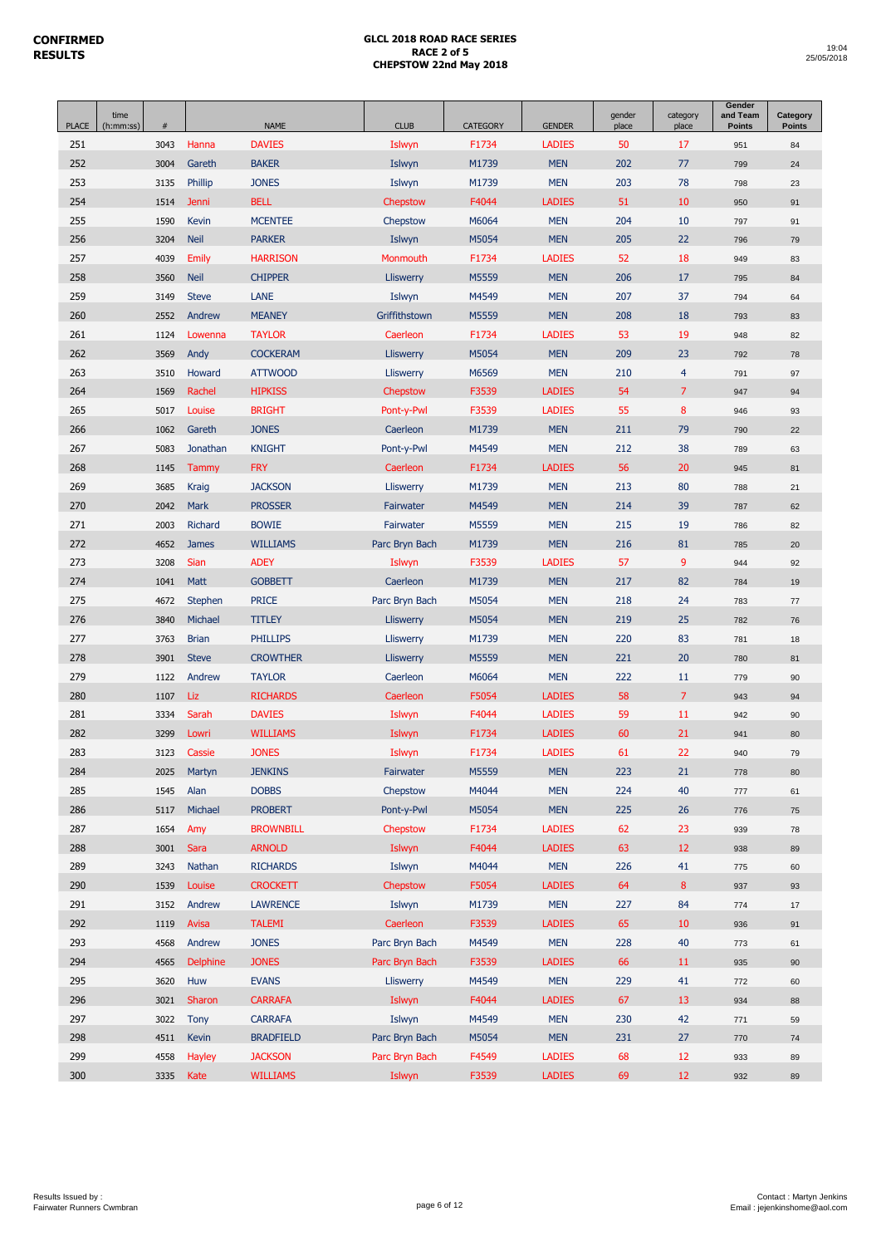| <b>PLACE</b> | time<br>(h:mm:ss) | $\#$ |                 | <b>NAME</b>      | <b>CLUB</b>      | <b>CATEGORY</b> | <b>GENDER</b> | gender<br>place | category<br>place | Gender<br>and Team<br><b>Points</b> | Category<br><b>Points</b> |
|--------------|-------------------|------|-----------------|------------------|------------------|-----------------|---------------|-----------------|-------------------|-------------------------------------|---------------------------|
| 251          |                   | 3043 | Hanna           | <b>DAVIES</b>    | Islwyn           | F1734           | <b>LADIES</b> | 50              | 17                | 951                                 | 84                        |
| 252          |                   | 3004 | Gareth          | <b>BAKER</b>     | Islwyn           | M1739           | <b>MEN</b>    | 202             | 77                | 799                                 | 24                        |
| 253          |                   | 3135 | Phillip         | <b>JONES</b>     | Islwyn           | M1739           | <b>MEN</b>    | 203             | 78                | 798                                 | 23                        |
| 254          |                   | 1514 | Jenni           | <b>BELL</b>      | Chepstow         | F4044           | <b>LADIES</b> | 51              | 10                | 950                                 | 91                        |
| 255          |                   | 1590 | Kevin           | <b>MCENTEE</b>   | Chepstow         | M6064           | <b>MEN</b>    | 204             | 10                | 797                                 | 91                        |
| 256          |                   | 3204 | <b>Neil</b>     | <b>PARKER</b>    | Islwyn           | M5054           | <b>MEN</b>    | 205             | 22                | 796                                 | 79                        |
| 257          |                   | 4039 | <b>Emily</b>    | <b>HARRISON</b>  | Monmouth         | F1734           | <b>LADIES</b> | 52              | 18                | 949                                 | 83                        |
| 258          |                   | 3560 | <b>Neil</b>     | <b>CHIPPER</b>   | <b>Lliswerry</b> | M5559           | <b>MEN</b>    | 206             | 17                | 795                                 | 84                        |
| 259          |                   | 3149 | <b>Steve</b>    | LANE             | Islwyn           | M4549           | <b>MEN</b>    | 207             | 37                | 794                                 | 64                        |
| 260          |                   | 2552 | Andrew          | <b>MEANEY</b>    | Griffithstown    | M5559           | <b>MEN</b>    | 208             | 18                | 793                                 | 83                        |
| 261          |                   | 1124 | Lowenna         | <b>TAYLOR</b>    | Caerleon         | F1734           | <b>LADIES</b> | 53              | 19                | 948                                 | 82                        |
| 262          |                   | 3569 | Andy            | <b>COCKERAM</b>  | Lliswerry        | M5054           | <b>MEN</b>    | 209             | 23                | 792                                 | 78                        |
| 263          |                   | 3510 | Howard          | <b>ATTWOOD</b>   | Lliswerry        | M6569           | <b>MEN</b>    | 210             | $\overline{4}$    | 791                                 | 97                        |
| 264          |                   | 1569 | Rachel          | <b>HIPKISS</b>   | Chepstow         | F3539           | <b>LADIES</b> | 54              | $\overline{7}$    | 947                                 | 94                        |
| 265          |                   | 5017 | Louise          | <b>BRIGHT</b>    | Pont-y-Pwl       | F3539           | <b>LADIES</b> | 55              | 8                 | 946                                 | 93                        |
| 266          |                   | 1062 | Gareth          | <b>JONES</b>     | Caerleon         | M1739           | <b>MEN</b>    | 211             | 79                | 790                                 | 22                        |
| 267          |                   | 5083 | Jonathan        | <b>KNIGHT</b>    | Pont-y-Pwl       | M4549           | <b>MEN</b>    | 212             | 38                | 789                                 | 63                        |
| 268          |                   | 1145 | Tammy           | <b>FRY</b>       | Caerleon         | F1734           | <b>LADIES</b> | 56              | 20                | 945                                 | 81                        |
| 269          |                   | 3685 | Kraig           | <b>JACKSON</b>   | Lliswerry        | M1739           | <b>MEN</b>    | 213             | 80                | 788                                 | 21                        |
| 270          |                   | 2042 | <b>Mark</b>     | <b>PROSSER</b>   | Fairwater        | M4549           | <b>MEN</b>    | 214             | 39                | 787                                 | 62                        |
| 271          |                   | 2003 | Richard         | <b>BOWIE</b>     | Fairwater        | M5559           | <b>MEN</b>    | 215             | 19                | 786                                 | 82                        |
| 272          |                   | 4652 | <b>James</b>    | <b>WILLIAMS</b>  | Parc Bryn Bach   | M1739           | <b>MEN</b>    | 216             | 81                | 785                                 | 20                        |
| 273          |                   | 3208 | <b>Sian</b>     | <b>ADEY</b>      | Islwyn           | F3539           | <b>LADIES</b> | 57              | 9                 | 944                                 | 92                        |
| 274          |                   | 1041 | <b>Matt</b>     | <b>GOBBETT</b>   | Caerleon         | M1739           | <b>MEN</b>    | 217             | 82                | 784                                 | 19                        |
| 275          |                   | 4672 | <b>Stephen</b>  | <b>PRICE</b>     | Parc Bryn Bach   | M5054           | <b>MEN</b>    | 218             | 24                | 783                                 | 77                        |
| 276          |                   | 3840 | Michael         | <b>TITLEY</b>    | Lliswerry        | M5054           | <b>MEN</b>    | 219             | 25                | 782                                 | 76                        |
| 277          |                   | 3763 | <b>Brian</b>    | <b>PHILLIPS</b>  | Lliswerry        | M1739           | <b>MEN</b>    | 220             | 83                | 781                                 | 18                        |
| 278          |                   | 3901 | <b>Steve</b>    | <b>CROWTHER</b>  | Lliswerry        | M5559           | <b>MEN</b>    | 221             | 20                | 780                                 | 81                        |
| 279          |                   | 1122 | Andrew          | <b>TAYLOR</b>    | Caerleon         | M6064           | <b>MEN</b>    | 222             | 11                | 779                                 | 90                        |
| 280          |                   | 1107 | Liz.            | <b>RICHARDS</b>  | Caerleon         | F5054           | <b>LADIES</b> | 58              | $\overline{7}$    | 943                                 | 94                        |
| 281          |                   | 3334 | Sarah           | <b>DAVIES</b>    | Islwyn           | F4044           | <b>LADIES</b> | 59              | 11                | 942                                 | 90                        |
| 282          |                   | 3299 | Lowri           | <b>WILLIAMS</b>  | Islwyn           | F1734           | <b>LADIES</b> | 60              | 21                | 941                                 | 80                        |
| 283          |                   | 3123 | Cassie          | <b>JONES</b>     | Islwyn           | F1734           | <b>LADIES</b> | 61              | 22                | 940                                 | 79                        |
| 284          |                   | 2025 | Martyn          | <b>JENKINS</b>   | Fairwater        | M5559           | <b>MEN</b>    | 223             | 21                | 778                                 | 80                        |
| 285          |                   | 1545 | Alan            | <b>DOBBS</b>     | Chepstow         | M4044           | <b>MEN</b>    | 224             | 40                | 777                                 | 61                        |
| 286          |                   | 5117 | Michael         | <b>PROBERT</b>   | Pont-y-Pwl       | M5054           | <b>MEN</b>    | 225             | 26                | 776                                 | 75                        |
| 287          |                   | 1654 | Amy             | <b>BROWNBILL</b> | Chepstow         | F1734           | <b>LADIES</b> | 62              | 23                | 939                                 | ${\bf 78}$                |
| 288          |                   | 3001 | Sara            | <b>ARNOLD</b>    | Islwyn           | F4044           | <b>LADIES</b> | 63              | 12                | 938                                 | 89                        |
| 289          |                   | 3243 | Nathan          | <b>RICHARDS</b>  | Islwyn           | M4044           | <b>MEN</b>    | 226             | 41                | 775                                 | 60                        |
| 290          |                   | 1539 | Louise          | <b>CROCKETT</b>  | Chepstow         | F5054           | <b>LADIES</b> | 64              | 8                 | 937                                 | 93                        |
| 291          |                   | 3152 | Andrew          | <b>LAWRENCE</b>  | Islwyn           | M1739           | <b>MEN</b>    | 227             | 84                | 774                                 | 17                        |
| 292          |                   | 1119 | Avisa           | <b>TALEMI</b>    | Caerleon         | F3539           | <b>LADIES</b> | 65              | 10                | 936                                 | 91                        |
| 293          |                   | 4568 | Andrew          | <b>JONES</b>     | Parc Bryn Bach   | M4549           | <b>MEN</b>    | 228             | 40                | 773                                 | 61                        |
| 294          |                   | 4565 | <b>Delphine</b> | <b>JONES</b>     | Parc Bryn Bach   | F3539           | <b>LADIES</b> | 66              | 11                | 935                                 | 90                        |
| 295          |                   | 3620 | Huw             | <b>EVANS</b>     | Lliswerry        | M4549           | <b>MEN</b>    | 229             | 41                | 772                                 | 60                        |
| 296          |                   | 3021 | Sharon          | <b>CARRAFA</b>   | Islwyn           | F4044           | <b>LADIES</b> | 67              | 13                | 934                                 | 88                        |
| 297          |                   | 3022 | Tony            | <b>CARRAFA</b>   | Islwyn           | M4549           | <b>MEN</b>    | 230             | 42                | 771                                 | 59                        |
| 298          |                   | 4511 | Kevin           | <b>BRADFIELD</b> | Parc Bryn Bach   | M5054           | <b>MEN</b>    | 231             | 27                | 770                                 | $74\,$                    |
| 299          |                   | 4558 | Hayley          | <b>JACKSON</b>   | Parc Bryn Bach   | F4549           | <b>LADIES</b> | 68              | 12                | 933                                 | 89                        |
| 300          |                   | 3335 | Kate            | <b>WILLIAMS</b>  | Islwyn           | F3539           | <b>LADIES</b> | 69              | 12                | 932                                 | 89                        |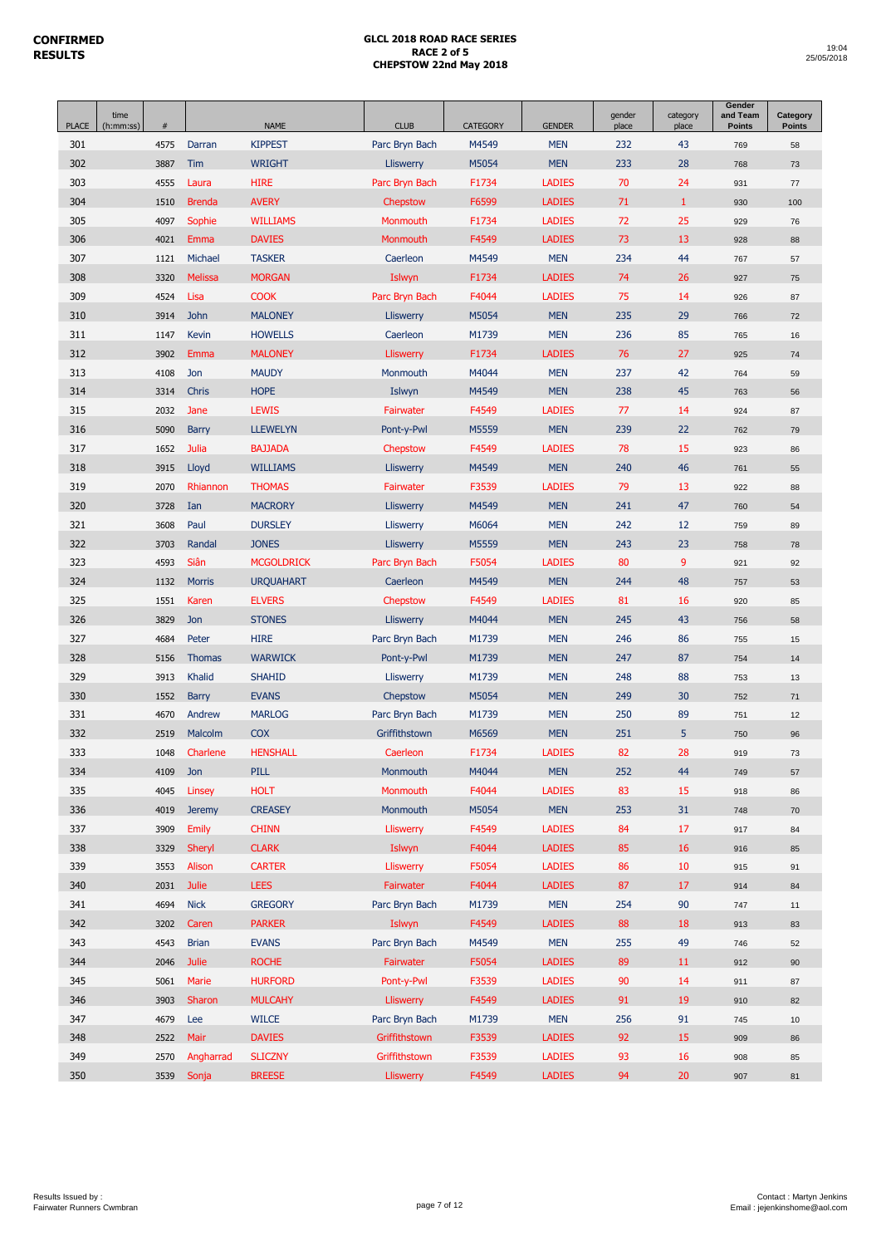| <b>PLACE</b> | time<br>(h:mm:ss) | $\#$ |                | <b>NAME</b>       | <b>CLUB</b>      | <b>CATEGORY</b> | <b>GENDER</b> | gender<br>place | category<br>place | Gender<br>and Team<br><b>Points</b> | Category<br><b>Points</b> |
|--------------|-------------------|------|----------------|-------------------|------------------|-----------------|---------------|-----------------|-------------------|-------------------------------------|---------------------------|
| 301          |                   | 4575 | Darran         | <b>KIPPEST</b>    | Parc Bryn Bach   | M4549           | <b>MEN</b>    | 232             | 43                | 769                                 | 58                        |
| 302          |                   | 3887 | Tim            | <b>WRIGHT</b>     | <b>Lliswerry</b> | M5054           | <b>MEN</b>    | 233             | 28                | 768                                 | 73                        |
| 303          |                   | 4555 | Laura          | <b>HIRE</b>       | Parc Bryn Bach   | F1734           | <b>LADIES</b> | 70              | 24                | 931                                 | 77                        |
| 304          |                   | 1510 | <b>Brenda</b>  | <b>AVERY</b>      | Chepstow         | F6599           | <b>LADIES</b> | 71              | $\mathbf{1}$      | 930                                 | 100                       |
| 305          |                   | 4097 | Sophie         | <b>WILLIAMS</b>   | Monmouth         | F1734           | <b>LADIES</b> | 72              | 25                | 929                                 | 76                        |
| 306          |                   | 4021 | Emma           | <b>DAVIES</b>     | Monmouth         | F4549           | <b>LADIES</b> | 73              | 13                | 928                                 | 88                        |
| 307          |                   | 1121 | Michael        | <b>TASKER</b>     | Caerleon         | M4549           | <b>MEN</b>    | 234             | 44                | 767                                 | 57                        |
| 308          |                   | 3320 | <b>Melissa</b> | <b>MORGAN</b>     | Islwyn           | F1734           | <b>LADIES</b> | 74              | 26                | 927                                 | 75                        |
| 309          |                   | 4524 | Lisa           | <b>COOK</b>       | Parc Bryn Bach   | F4044           | <b>LADIES</b> | 75              | 14                | 926                                 | 87                        |
| 310          |                   | 3914 | John           | <b>MALONEY</b>    | <b>Lliswerry</b> | M5054           | <b>MEN</b>    | 235             | 29                | 766                                 | 72                        |
| 311          |                   | 1147 | Kevin          | <b>HOWELLS</b>    | Caerleon         | M1739           | <b>MEN</b>    | 236             | 85                | 765                                 | 16                        |
| 312          |                   | 3902 | Emma           | <b>MALONEY</b>    | Lliswerry        | F1734           | <b>LADIES</b> | 76              | 27                | 925                                 | 74                        |
| 313          |                   | 4108 | Jon            | <b>MAUDY</b>      | Monmouth         | M4044           | <b>MEN</b>    | 237             | 42                | 764                                 | 59                        |
| 314          |                   | 3314 | Chris          | <b>HOPE</b>       | Islwyn           | M4549           | <b>MEN</b>    | 238             | 45                | 763                                 | 56                        |
| 315          |                   | 2032 | Jane           | <b>LEWIS</b>      | Fairwater        | F4549           | <b>LADIES</b> | 77              | 14                | 924                                 | 87                        |
| 316          |                   | 5090 | <b>Barry</b>   | <b>LLEWELYN</b>   | Pont-y-Pwl       | M5559           | <b>MEN</b>    | 239             | 22                | 762                                 | 79                        |
| 317          |                   | 1652 | Julia          | <b>BAJJADA</b>    | Chepstow         | F4549           | <b>LADIES</b> | 78              | 15                | 923                                 | 86                        |
| 318          |                   | 3915 | Lloyd          | <b>WILLIAMS</b>   | Lliswerry        | M4549           | <b>MEN</b>    | 240             | 46                | 761                                 | 55                        |
| 319          |                   | 2070 | Rhiannon       | <b>THOMAS</b>     | Fairwater        | F3539           | <b>LADIES</b> | 79              | 13                | 922                                 | 88                        |
| 320          |                   | 3728 | Ian            | <b>MACRORY</b>    | Lliswerry        | M4549           | <b>MEN</b>    | 241             | 47                | 760                                 | 54                        |
| 321          |                   | 3608 | Paul           | <b>DURSLEY</b>    | Lliswerry        | M6064           | <b>MEN</b>    | 242             | 12                | 759                                 | 89                        |
| 322          |                   | 3703 | Randal         | <b>JONES</b>      | Lliswerry        | M5559           | <b>MEN</b>    | 243             | 23                | 758                                 | 78                        |
| 323          |                   | 4593 | Siân           | <b>MCGOLDRICK</b> | Parc Bryn Bach   | F5054           | <b>LADIES</b> | 80              | 9                 | 921                                 | 92                        |
| 324          |                   | 1132 | <b>Morris</b>  | <b>URQUAHART</b>  | Caerleon         | M4549           | <b>MEN</b>    | 244             | 48                | 757                                 | 53                        |
| 325          |                   | 1551 | Karen          | <b>ELVERS</b>     | Chepstow         | F4549           | <b>LADIES</b> | 81              | 16                | 920                                 | 85                        |
| 326          |                   | 3829 | Jon            | <b>STONES</b>     | Lliswerry        | M4044           | <b>MEN</b>    | 245             | 43                | 756                                 | 58                        |
| 327          |                   | 4684 | Peter          | <b>HIRE</b>       | Parc Bryn Bach   | M1739           | <b>MEN</b>    | 246             | 86                | 755                                 | 15                        |
| 328          |                   | 5156 | <b>Thomas</b>  | <b>WARWICK</b>    | Pont-y-Pwl       | M1739           | <b>MEN</b>    | 247             | 87                | 754                                 | 14                        |
| 329          |                   | 3913 | Khalid         | <b>SHAHID</b>     | Lliswerry        | M1739           | <b>MEN</b>    | 248             | 88                | 753                                 | 13                        |
| 330          |                   | 1552 | <b>Barry</b>   | <b>EVANS</b>      | Chepstow         | M5054           | <b>MEN</b>    | 249             | 30                | 752                                 | 71                        |
| 331          |                   | 4670 | Andrew         | <b>MARLOG</b>     | Parc Bryn Bach   | M1739           | <b>MEN</b>    | 250             | 89                | 751                                 | 12                        |
| 332          |                   | 2519 | Malcolm        | <b>COX</b>        | Griffithstown    | M6569           | <b>MEN</b>    | 251             | 5                 | 750                                 | 96                        |
| 333          |                   | 1048 | Charlene       | <b>HENSHALL</b>   | Caerleon         | F1734           | <b>LADIES</b> | 82              | 28                | 919                                 | 73                        |
| 334          |                   | 4109 | Jon            | PILL              | Monmouth         | M4044           | <b>MEN</b>    | 252             | 44                | 749                                 | 57                        |
| 335          |                   | 4045 | Linsey         | <b>HOLT</b>       | Monmouth         | F4044           | <b>LADIES</b> | 83              | 15                | 918                                 | 86                        |
| 336          |                   | 4019 | <b>Jeremy</b>  | <b>CREASEY</b>    | Monmouth         | M5054           | <b>MEN</b>    | 253             | 31                | 748                                 | $70\,$                    |
| 337          |                   | 3909 | Emily          | <b>CHINN</b>      | Lliswerry        | F4549           | <b>LADIES</b> | 84              | 17                | 917                                 | 84                        |
| 338          |                   | 3329 | Sheryl         | <b>CLARK</b>      | Islwyn           | F4044           | <b>LADIES</b> | 85              | 16                | 916                                 | 85                        |
| 339          |                   | 3553 | Alison         | <b>CARTER</b>     | <b>Lliswerry</b> | F5054           | <b>LADIES</b> | 86              | 10                | 915                                 | 91                        |
| 340          |                   | 2031 | <b>Julie</b>   | <b>LEES</b>       | Fairwater        | F4044           | <b>LADIES</b> | 87              | 17                | 914                                 | 84                        |
| 341          |                   | 4694 | <b>Nick</b>    | <b>GREGORY</b>    | Parc Bryn Bach   | M1739           | <b>MEN</b>    | 254             | 90                | 747                                 | 11                        |
| 342          |                   | 3202 | Caren          | <b>PARKER</b>     | Islwyn           | F4549           | <b>LADIES</b> | 88              | $18\,$            | 913                                 | 83                        |
| 343          |                   | 4543 | <b>Brian</b>   | <b>EVANS</b>      | Parc Bryn Bach   | M4549           | <b>MEN</b>    | 255             | 49                | 746                                 | 52                        |
| 344          |                   | 2046 | <b>Julie</b>   | <b>ROCHE</b>      | Fairwater        | F5054           | <b>LADIES</b> | 89              | $11\,$            | 912                                 | 90                        |
| 345          |                   | 5061 | Marie          | <b>HURFORD</b>    | Pont-y-Pwl       | F3539           | <b>LADIES</b> | 90              | 14                | 911                                 | 87                        |
| 346          |                   | 3903 | Sharon         | <b>MULCAHY</b>    | <b>Lliswerry</b> | F4549           | <b>LADIES</b> | 91              | 19                | 910                                 | 82                        |
| 347          |                   | 4679 | Lee            | <b>WILCE</b>      | Parc Bryn Bach   | M1739           | <b>MEN</b>    | 256             | 91                | 745                                 | 10                        |
| 348          |                   | 2522 | Mair           | <b>DAVIES</b>     | Griffithstown    | F3539           | <b>LADIES</b> | 92              | 15                | 909                                 | 86                        |
| 349          |                   | 2570 | Angharrad      | <b>SLICZNY</b>    | Griffithstown    | F3539           | <b>LADIES</b> | 93              | 16                | 908                                 | 85                        |
| 350          |                   |      | 3539 Sonja     | <b>BREESE</b>     | Lliswerry        | F4549           | <b>LADIES</b> | 94              | 20 <sub>2</sub>   | 907                                 | 81                        |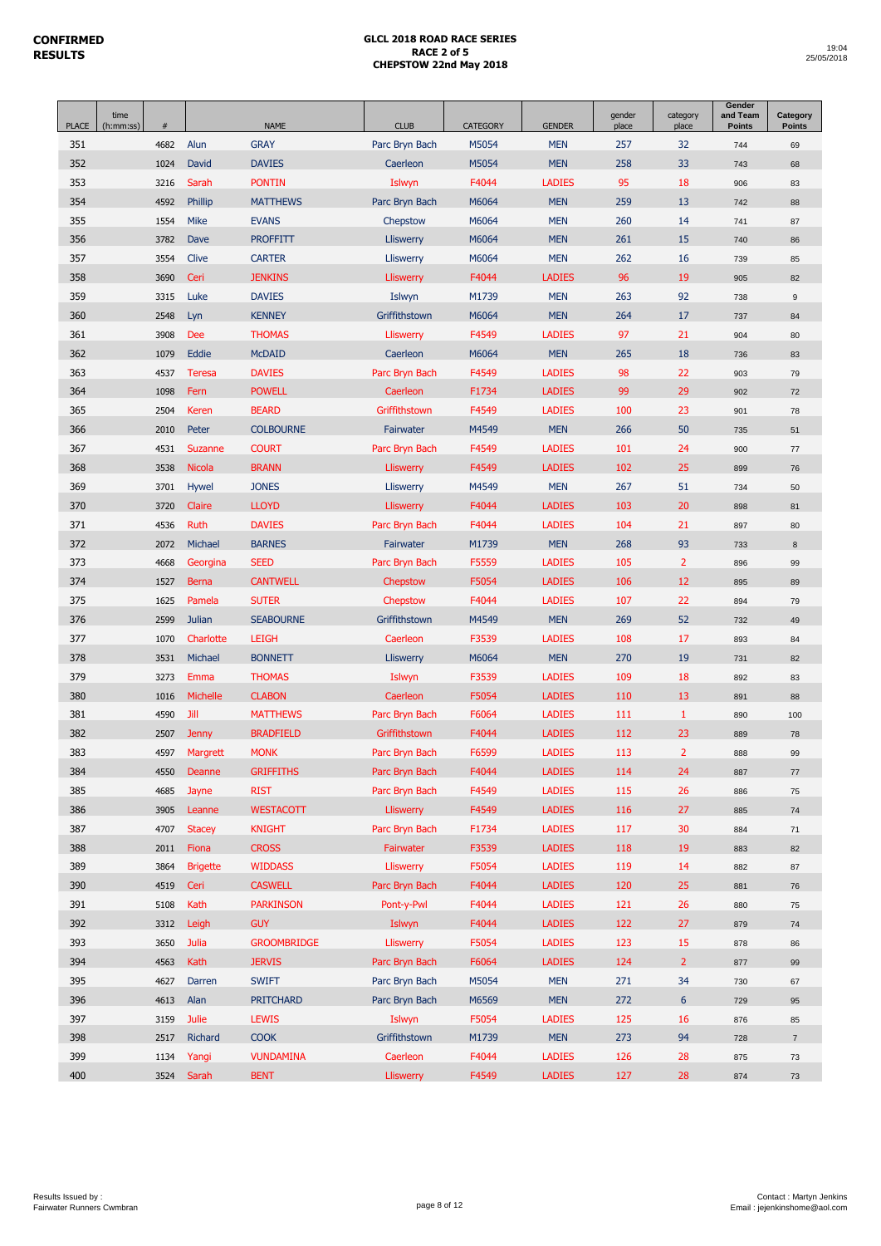| <b>PLACE</b> | time<br>(h:mm:ss) | $\#$ |                     | <b>NAME</b>                     | <b>CLUB</b>           | <b>CATEGORY</b> | <b>GENDER</b>                  | gender<br>place | category<br>place | Gender<br>and Team<br><b>Points</b> | Category<br><b>Points</b> |
|--------------|-------------------|------|---------------------|---------------------------------|-----------------------|-----------------|--------------------------------|-----------------|-------------------|-------------------------------------|---------------------------|
| 351          |                   | 4682 | Alun                | <b>GRAY</b>                     | Parc Bryn Bach        | M5054           | <b>MEN</b>                     | 257             | 32                | 744                                 | 69                        |
| 352          |                   | 1024 | David               | <b>DAVIES</b>                   | Caerleon              | M5054           | <b>MEN</b>                     | 258             | 33                | 743                                 | 68                        |
| 353          |                   | 3216 | Sarah               | <b>PONTIN</b>                   | Islwyn                | F4044           | <b>LADIES</b>                  | 95              | 18                | 906                                 | 83                        |
| 354          |                   | 4592 | Phillip             | <b>MATTHEWS</b>                 | Parc Bryn Bach        | M6064           | <b>MEN</b>                     | 259             | 13                | 742                                 | 88                        |
| 355          |                   | 1554 | Mike                | <b>EVANS</b>                    | Chepstow              | M6064           | <b>MEN</b>                     | 260             | 14                | 741                                 | 87                        |
| 356          |                   | 3782 | Dave                | <b>PROFFITT</b>                 | Lliswerry             | M6064           | <b>MEN</b>                     | 261             | 15                | 740                                 | 86                        |
| 357          |                   | 3554 | Clive               | <b>CARTER</b>                   | Lliswerry             | M6064           | <b>MEN</b>                     | 262             | 16                | 739                                 | 85                        |
| 358          |                   | 3690 | Ceri                | <b>JENKINS</b>                  | Lliswerry             | F4044           | <b>LADIES</b>                  | 96              | 19                | 905                                 | 82                        |
| 359          |                   | 3315 | Luke                | <b>DAVIES</b>                   | Islwyn                | M1739           | <b>MEN</b>                     | 263             | 92                | 738                                 | 9                         |
| 360          |                   | 2548 | Lyn                 | <b>KENNEY</b>                   | Griffithstown         | M6064           | <b>MEN</b>                     | 264             | 17                | 737                                 | 84                        |
| 361          |                   | 3908 | <b>Dee</b>          | <b>THOMAS</b>                   | Lliswerry             | F4549           | <b>LADIES</b>                  | 97              | 21                | 904                                 | 80                        |
| 362          |                   | 1079 | Eddie               | <b>McDAID</b>                   | Caerleon              | M6064           | <b>MEN</b>                     | 265             | 18                | 736                                 | 83                        |
| 363          |                   | 4537 | <b>Teresa</b>       | <b>DAVIES</b>                   | Parc Bryn Bach        | F4549           | <b>LADIES</b>                  | 98              | 22                | 903                                 | 79                        |
| 364          |                   | 1098 | Fern                | <b>POWELL</b>                   | Caerleon              | F1734           | <b>LADIES</b>                  | 99              | 29                | 902                                 | 72                        |
| 365          |                   | 2504 | Keren               | <b>BEARD</b>                    | Griffithstown         | F4549           | <b>LADIES</b>                  | 100             | 23                | 901                                 | 78                        |
| 366          |                   | 2010 | Peter               | <b>COLBOURNE</b>                | Fairwater             | M4549           | <b>MEN</b>                     | 266             | 50                | 735                                 | 51                        |
| 367          |                   | 4531 | Suzanne             | <b>COURT</b>                    | Parc Bryn Bach        | F4549           | <b>LADIES</b>                  | 101             | 24                | 900                                 | 77                        |
| 368          |                   | 3538 | <b>Nicola</b>       | <b>BRANN</b>                    | Lliswerry             | F4549           | <b>LADIES</b>                  | 102             | 25                | 899                                 | 76                        |
| 369          |                   | 3701 | Hywel               | <b>JONES</b>                    | Lliswerry             | M4549           | <b>MEN</b>                     | 267             | 51                | 734                                 | 50                        |
| 370          |                   | 3720 | Claire              | <b>LLOYD</b>                    | Lliswerry             | F4044           | <b>LADIES</b>                  | 103             | 20                | 898                                 | 81                        |
| 371          |                   | 4536 | Ruth                | <b>DAVIES</b>                   | Parc Bryn Bach        | F4044           | <b>LADIES</b>                  | 104             | 21                | 897                                 | 80                        |
| 372          |                   | 2072 | Michael             | <b>BARNES</b>                   | Fairwater             | M1739           | <b>MEN</b>                     | 268             | 93                | 733                                 | 8                         |
| 373          |                   | 4668 | Georgina            | <b>SEED</b>                     | Parc Bryn Bach        | F5559           | <b>LADIES</b>                  | 105             | $\overline{2}$    | 896                                 | 99                        |
| 374          |                   | 1527 | <b>Berna</b>        | <b>CANTWELL</b>                 | Chepstow              | F5054           | <b>LADIES</b>                  | 106             | 12                | 895                                 | 89                        |
| 375          |                   | 1625 | Pamela              | <b>SUTER</b>                    | Chepstow              | F4044           | <b>LADIES</b>                  | 107             | 22                | 894                                 | 79                        |
| 376          |                   | 2599 | Julian              | <b>SEABOURNE</b>                | Griffithstown         | M4549           | <b>MEN</b>                     | 269             | 52                | 732                                 | 49                        |
| 377          |                   | 1070 | Charlotte           | <b>LEIGH</b>                    | Caerleon              | F3539           | <b>LADIES</b>                  | 108             | 17                | 893                                 | 84                        |
| 378          |                   | 3531 | Michael             | <b>BONNETT</b>                  | <b>Lliswerry</b>      | M6064           | <b>MEN</b>                     | 270             | 19                | 731                                 | 82                        |
| 379          |                   | 3273 | Emma                | <b>THOMAS</b>                   | Islwyn                | F3539           | <b>LADIES</b>                  | 109             | 18                | 892                                 | 83                        |
| 380          |                   | 1016 | <b>Michelle</b>     | <b>CLABON</b>                   | Caerleon              | F5054           | <b>LADIES</b>                  | 110             | 13                | 891                                 | 88                        |
| 381          |                   | 4590 | Jill                | <b>MATTHEWS</b>                 | Parc Bryn Bach        | F6064           | <b>LADIES</b>                  | 111             | $\mathbf{1}$      | 890                                 | 100                       |
| 382          |                   | 2507 | <b>Jenny</b>        | <b>BRADFIELD</b>                | Griffithstown         | F4044           | <b>LADIES</b>                  | 112             | 23                | 889                                 | 78                        |
| 383          |                   | 4597 | Margrett            | <b>MONK</b>                     | Parc Bryn Bach        | F6599           | <b>LADIES</b>                  | 113             | $\overline{2}$    | 888                                 | 99                        |
| 384          |                   | 4550 | Deanne              | <b>GRIFFITHS</b>                | Parc Bryn Bach        | F4044           | <b>LADIES</b>                  | 114             | 24                | 887                                 | $77\,$                    |
| 385          |                   | 4685 | Jayne               | <b>RIST</b>                     | Parc Bryn Bach        | F4549           | <b>LADIES</b>                  | 115             | 26                | 886                                 | 75                        |
| 386          |                   | 3905 | Leanne              | <b>WESTACOTT</b>                | <b>Lliswerry</b>      | F4549           | <b>LADIES</b>                  | 116             | 27                | 885                                 | $74\,$                    |
| 387          |                   | 4707 | <b>Stacey</b>       | <b>KNIGHT</b>                   | Parc Bryn Bach        | F1734           | <b>LADIES</b>                  | 117             | 30                | 884                                 | $71\,$                    |
| 388          |                   | 2011 | Fiona               | <b>CROSS</b>                    | Fairwater             | F3539           | <b>LADIES</b>                  | 118             | 19                | 883                                 | 82                        |
| 389          |                   | 3864 | <b>Brigette</b>     | <b>WIDDASS</b>                  | Lliswerry             | F5054           | <b>LADIES</b>                  | 119             | 14                | 882                                 | 87                        |
| 390          |                   | 4519 | Ceri                | <b>CASWELL</b>                  | Parc Bryn Bach        | F4044           | <b>LADIES</b>                  | 120             | 25                | 881                                 | 76                        |
| 391          |                   | 5108 | Kath                | <b>PARKINSON</b>                | Pont-y-Pwl            | F4044           | <b>LADIES</b>                  | 121             | 26                | 880                                 | 75                        |
| 392          |                   | 3312 | Leigh               | <b>GUY</b>                      | Islwyn                | F4044           | <b>LADIES</b>                  | 122             | 27                | 879                                 | $74\,$                    |
| 393          |                   | 3650 | Julia               | <b>GROOMBRIDGE</b>              | <b>Lliswerry</b>      | F5054           | <b>LADIES</b>                  | 123             | 15                | 878                                 | 86                        |
| 394          |                   | 4563 | Kath                | <b>JERVIS</b>                   | Parc Bryn Bach        | F6064           | <b>LADIES</b>                  | 124             | $\overline{2}$    | 877                                 | 99                        |
| 395          |                   | 4627 | Darren              | <b>SWIFT</b>                    | Parc Bryn Bach        | M5054           | <b>MEN</b>                     | 271             | 34                | 730                                 | 67                        |
| 396          |                   | 4613 | Alan                | <b>PRITCHARD</b>                | Parc Bryn Bach        | M6569           | <b>MEN</b>                     | 272             | $\boldsymbol{6}$  | 729                                 | 95                        |
| 397          |                   | 3159 | Julie               | <b>LEWIS</b>                    | Islwyn                | F5054           | <b>LADIES</b>                  | 125             | 16                | 876                                 | 85                        |
| 398<br>399   |                   | 2517 | Richard             | <b>COOK</b><br><b>VUNDAMINA</b> | Griffithstown         | M1739           | <b>MEN</b>                     | 273             | 94                | 728                                 | $\overline{7}$            |
| 400          |                   | 1134 | Yangi<br>3524 Sarah | <b>BENT</b>                     | Caerleon<br>Lliswerry | F4044<br>F4549  | <b>LADIES</b><br><b>LADIES</b> | 126<br>127      | 28<br>28          | 875<br>874                          | 73                        |
|              |                   |      |                     |                                 |                       |                 |                                |                 |                   |                                     | 73                        |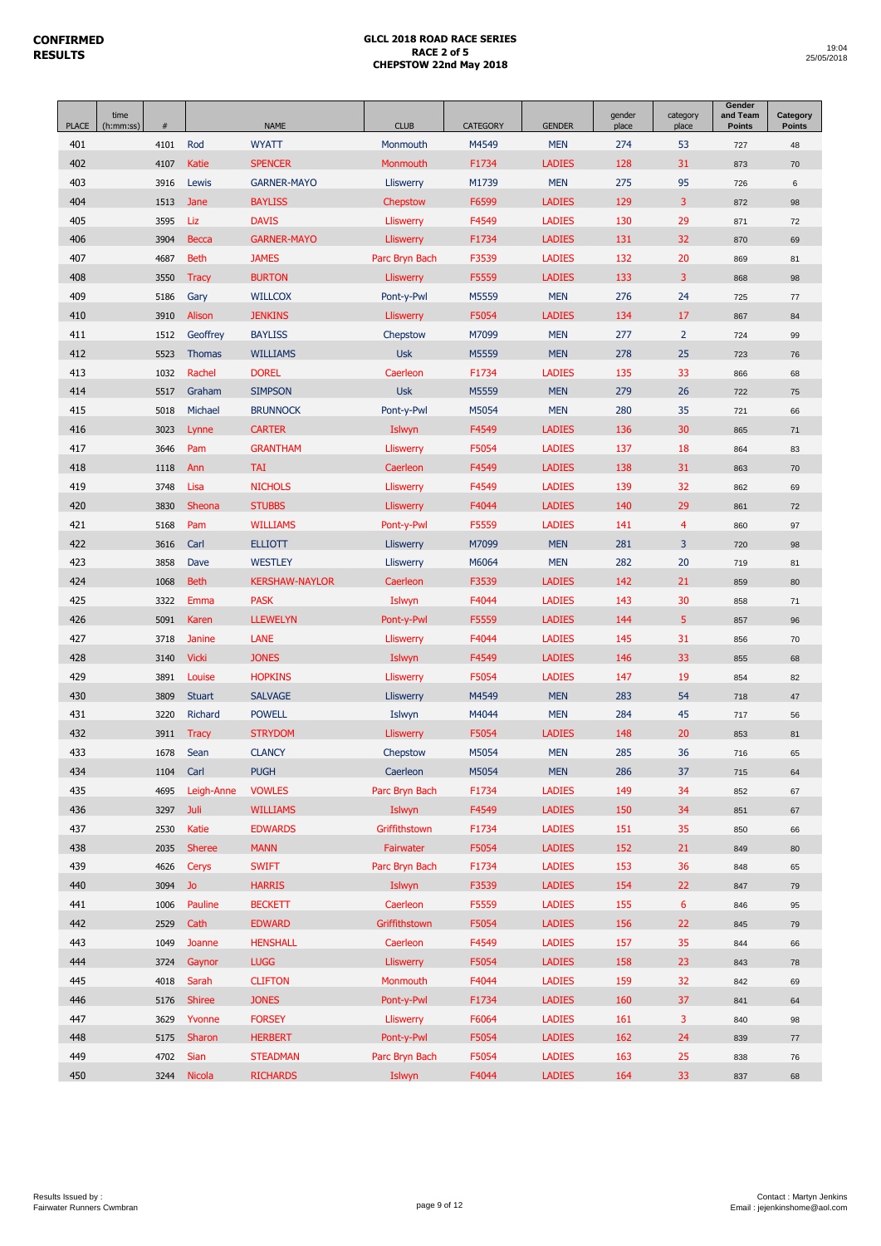| <b>PLACE</b> | time<br>(h:mm:ss) | $\#$ |                | <b>NAME</b>           | <b>CLUB</b>      | <b>CATEGORY</b> | <b>GENDER</b> | gender<br>place | category<br>place | Gender<br>and Team<br><b>Points</b> | Category<br><b>Points</b> |
|--------------|-------------------|------|----------------|-----------------------|------------------|-----------------|---------------|-----------------|-------------------|-------------------------------------|---------------------------|
| 401          |                   | 4101 | Rod            | <b>WYATT</b>          | Monmouth         | M4549           | <b>MEN</b>    | 274             | 53                | 727                                 | 48                        |
| 402          |                   | 4107 | <b>Katie</b>   | <b>SPENCER</b>        | Monmouth         | F1734           | <b>LADIES</b> | 128             | 31                | 873                                 | 70                        |
| 403          |                   | 3916 | Lewis          | <b>GARNER-MAYO</b>    | Lliswerry        | M1739           | <b>MEN</b>    | 275             | 95                | 726                                 | 6                         |
| 404          |                   | 1513 | Jane           | <b>BAYLISS</b>        | Chepstow         | F6599           | <b>LADIES</b> | 129             | 3                 | 872                                 | 98                        |
| 405          |                   | 3595 | Liz            | <b>DAVIS</b>          | Lliswerry        | F4549           | <b>LADIES</b> | 130             | 29                | 871                                 | 72                        |
| 406          |                   | 3904 | <b>Becca</b>   | <b>GARNER-MAYO</b>    | Lliswerry        | F1734           | <b>LADIES</b> | 131             | 32                | 870                                 | 69                        |
| 407          |                   | 4687 | <b>Beth</b>    | <b>JAMES</b>          | Parc Bryn Bach   | F3539           | <b>LADIES</b> | 132             | 20                | 869                                 | 81                        |
| 408          |                   | 3550 | <b>Tracy</b>   | <b>BURTON</b>         | Lliswerry        | F5559           | <b>LADIES</b> | 133             | 3                 | 868                                 | 98                        |
| 409          |                   | 5186 | Gary           | <b>WILLCOX</b>        | Pont-y-Pwl       | M5559           | <b>MEN</b>    | 276             | 24                | 725                                 | 77                        |
| 410          |                   | 3910 | Alison         | <b>JENKINS</b>        | Lliswerry        | F5054           | <b>LADIES</b> | 134             | 17                | 867                                 | 84                        |
| 411          |                   | 1512 | Geoffrey       | <b>BAYLISS</b>        | Chepstow         | M7099           | <b>MEN</b>    | 277             | $\overline{2}$    | 724                                 | 99                        |
| 412          |                   | 5523 | <b>Thomas</b>  | <b>WILLIAMS</b>       | <b>Usk</b>       | M5559           | <b>MEN</b>    | 278             | 25                | 723                                 | 76                        |
| 413          |                   | 1032 | Rachel         | <b>DOREL</b>          | Caerleon         | F1734           | <b>LADIES</b> | 135             | 33                | 866                                 | 68                        |
| 414          |                   | 5517 | Graham         | <b>SIMPSON</b>        | <b>Usk</b>       | M5559           | <b>MEN</b>    | 279             | 26                | 722                                 | 75                        |
| 415          |                   | 5018 | Michael        | <b>BRUNNOCK</b>       | Pont-y-Pwl       | M5054           | <b>MEN</b>    | 280             | 35                | 721                                 | 66                        |
| 416          |                   | 3023 | Lynne          | <b>CARTER</b>         | Islwyn           | F4549           | <b>LADIES</b> | 136             | 30                | 865                                 | 71                        |
| 417          |                   | 3646 | Pam            | <b>GRANTHAM</b>       | Lliswerry        | F5054           | <b>LADIES</b> | 137             | 18                | 864                                 | 83                        |
| 418          |                   | 1118 | Ann            | <b>TAI</b>            | Caerleon         | F4549           | <b>LADIES</b> | 138             | 31                | 863                                 | 70                        |
| 419          |                   | 3748 | Lisa           | <b>NICHOLS</b>        | Lliswerry        | F4549           | <b>LADIES</b> | 139             | 32                | 862                                 | 69                        |
| 420          |                   | 3830 | Sheona         | <b>STUBBS</b>         | Lliswerry        | F4044           | <b>LADIES</b> | 140             | 29                | 861                                 | 72                        |
| 421          |                   | 5168 | Pam            | <b>WILLIAMS</b>       | Pont-y-Pwl       | F5559           | <b>LADIES</b> | 141             | 4                 | 860                                 | 97                        |
| 422          |                   | 3616 | Carl           | <b>ELLIOTT</b>        | Lliswerry        | M7099           | <b>MEN</b>    | 281             | 3                 | 720                                 | 98                        |
| 423          |                   | 3858 | Dave           | <b>WESTLEY</b>        | Lliswerry        | M6064           | <b>MEN</b>    | 282             | 20                | 719                                 | 81                        |
| 424          |                   | 1068 | <b>Beth</b>    | <b>KERSHAW-NAYLOR</b> | Caerleon         | F3539           | <b>LADIES</b> | 142             | 21                | 859                                 | 80                        |
| 425          |                   | 3322 | Emma           | <b>PASK</b>           | Islwyn           | F4044           | <b>LADIES</b> | 143             | 30                | 858                                 | 71                        |
| 426          |                   | 5091 | Karen          | <b>LLEWELYN</b>       | Pont-y-Pwl       | F5559           | <b>LADIES</b> | 144             | 5                 | 857                                 | 96                        |
| 427          |                   | 3718 | <b>Janine</b>  | <b>LANE</b>           | Lliswerry        | F4044           | <b>LADIES</b> | 145             | 31                | 856                                 | 70                        |
| 428          |                   | 3140 | <b>Vicki</b>   | <b>JONES</b>          | Islwyn           | F4549           | <b>LADIES</b> | 146             | 33                | 855                                 | 68                        |
| 429          |                   | 3891 | Louise         | <b>HOPKINS</b>        | Lliswerry        | F5054           | <b>LADIES</b> | 147             | 19                | 854                                 | 82                        |
| 430          |                   | 3809 | <b>Stuart</b>  | <b>SALVAGE</b>        | <b>Lliswerry</b> | M4549           | <b>MEN</b>    | 283             | 54                | 718                                 | 47                        |
| 431          |                   | 3220 | <b>Richard</b> | <b>POWELL</b>         | Islwyn           | M4044           | <b>MEN</b>    | 284             | 45                | 717                                 | 56                        |
| 432          |                   | 3911 | <b>Tracy</b>   | <b>STRYDOM</b>        | Lliswerry        | F5054           | <b>LADIES</b> | 148             | 20                | 853                                 | 81                        |
| 433          |                   | 1678 | Sean           | <b>CLANCY</b>         | Chepstow         | M5054           | <b>MEN</b>    | 285             | 36                | 716                                 | 65                        |
| 434          |                   | 1104 | Carl           | <b>PUGH</b>           | Caerleon         | M5054           | <b>MEN</b>    | 286             | 37                | 715                                 | 64                        |
| 435          |                   | 4695 | Leigh-Anne     | <b>VOWLES</b>         | Parc Bryn Bach   | F1734           | <b>LADIES</b> | 149             | 34                | 852                                 | 67                        |
| 436          |                   | 3297 | Juli           | <b>WILLIAMS</b>       | Islwyn           | F4549           | <b>LADIES</b> | 150             | 34                | 851                                 | 67                        |
| 437          |                   | 2530 | Katie          | <b>EDWARDS</b>        | Griffithstown    | F1734           | <b>LADIES</b> | 151             | 35                | 850                                 | 66                        |
| 438          |                   | 2035 | <b>Sheree</b>  | <b>MANN</b>           | Fairwater        | F5054           | <b>LADIES</b> | 152             | 21                | 849                                 | 80                        |
| 439          |                   | 4626 | Cerys          | <b>SWIFT</b>          | Parc Bryn Bach   | F1734           | <b>LADIES</b> | 153             | 36                | 848                                 | 65                        |
| 440          |                   | 3094 | Jo             | <b>HARRIS</b>         | Islwyn           | F3539           | <b>LADIES</b> | 154             | 22                | 847                                 | 79                        |
| 441          |                   | 1006 | Pauline        | <b>BECKETT</b>        | Caerleon         | F5559           | <b>LADIES</b> | 155             | 6                 | 846                                 | 95                        |
| 442          |                   | 2529 | Cath           | <b>EDWARD</b>         | Griffithstown    | F5054           | <b>LADIES</b> | 156             | 22                | 845                                 | 79                        |
| 443          |                   | 1049 | Joanne         | <b>HENSHALL</b>       | Caerleon         | F4549           | <b>LADIES</b> | 157             | 35                | 844                                 | 66                        |
| 444          |                   | 3724 | Gaynor         | <b>LUGG</b>           | <b>Lliswerry</b> | F5054           | <b>LADIES</b> | 158             | 23                | 843                                 | 78                        |
| 445          |                   | 4018 | Sarah          | <b>CLIFTON</b>        | Monmouth         | F4044           | <b>LADIES</b> | 159             | 32                | 842                                 | 69                        |
| 446          |                   | 5176 | <b>Shiree</b>  | <b>JONES</b>          | Pont-y-Pwl       | F1734           | <b>LADIES</b> | 160             | 37                | 841                                 | 64                        |
| 447          |                   | 3629 | Yvonne         | <b>FORSEY</b>         | <b>Lliswerry</b> | F6064           | <b>LADIES</b> | 161             | 3                 | 840                                 | 98                        |
| 448          |                   | 5175 | Sharon         | <b>HERBERT</b>        | Pont-y-Pwl       | F5054           | <b>LADIES</b> | 162             | 24                | 839                                 | $77\,$                    |
| 449          |                   | 4702 | Sian           | <b>STEADMAN</b>       | Parc Bryn Bach   | F5054           | <b>LADIES</b> | 163             | 25                | 838                                 | 76                        |
| 450          |                   | 3244 | Nicola         | <b>RICHARDS</b>       | Islwyn           | F4044           | <b>LADIES</b> | 164             | 33 <sup>°</sup>   | 837                                 | 68                        |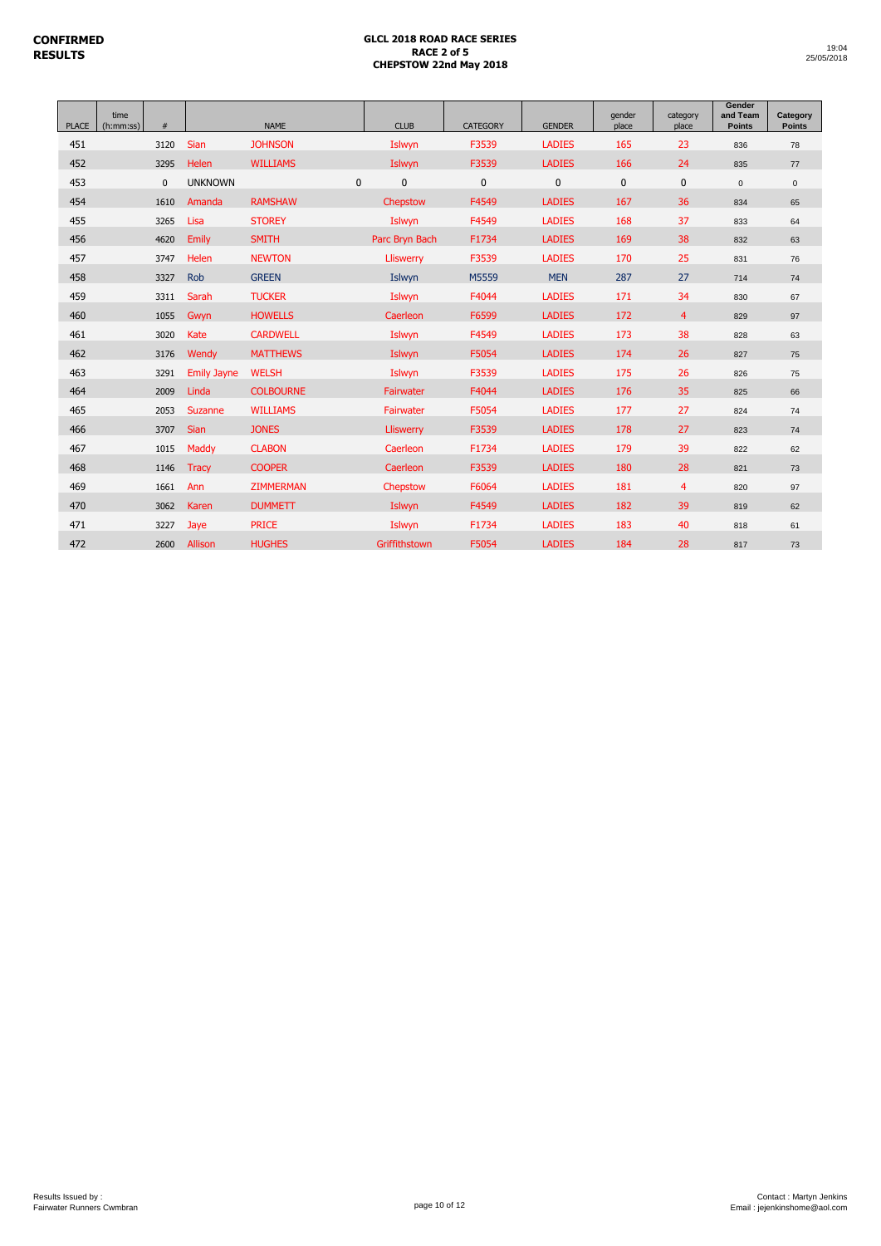| <b>PLACE</b> | time<br>(h:mm:ss) | #            |                    | <b>NAME</b>      | <b>CLUB</b>      | <b>CATEGORY</b> | <b>GENDER</b> | gender<br>place | category<br>place | Gender<br>and Team<br><b>Points</b> | Category<br>Points  |
|--------------|-------------------|--------------|--------------------|------------------|------------------|-----------------|---------------|-----------------|-------------------|-------------------------------------|---------------------|
| 451          |                   | 3120         | <b>Sian</b>        | <b>JOHNSON</b>   | Islwyn           | F3539           | <b>LADIES</b> | 165             | 23                | 836                                 | 78                  |
| 452          |                   | 3295         | Helen              | <b>WILLIAMS</b>  | Islwyn           | F3539           | <b>LADIES</b> | 166             | 24                | 835                                 | 77                  |
| 453          |                   | $\mathbf{0}$ | <b>UNKNOWN</b>     | $\mathbf{0}$     | 0                | $\mathbf 0$     | $\mathbf{0}$  | $\mathbf 0$     | $\mathbf 0$       | $\mathbf{0}$                        | $\mathsf{O}\xspace$ |
| 454          |                   | 1610         | Amanda             | <b>RAMSHAW</b>   | Chepstow         | F4549           | <b>LADIES</b> | 167             | 36                | 834                                 | 65                  |
| 455          |                   | 3265         | Lisa               | <b>STOREY</b>    | Islwyn           | F4549           | <b>LADIES</b> | 168             | 37                | 833                                 | 64                  |
| 456          |                   | 4620         | Emily              | <b>SMITH</b>     | Parc Bryn Bach   | F1734           | <b>LADIES</b> | 169             | 38                | 832                                 | 63                  |
| 457          |                   | 3747         | Helen              | <b>NEWTON</b>    | <b>Lliswerry</b> | F3539           | <b>LADIES</b> | 170             | 25                | 831                                 | 76                  |
| 458          |                   | 3327         | Rob                | <b>GREEN</b>     | Islwyn           | M5559           | <b>MEN</b>    | 287             | 27                | 714                                 | 74                  |
| 459          |                   | 3311         | Sarah              | <b>TUCKER</b>    | Islwyn           | F4044           | <b>LADIES</b> | 171             | 34                | 830                                 | 67                  |
| 460          |                   | 1055         | Gwyn               | <b>HOWELLS</b>   | Caerleon         | F6599           | <b>LADIES</b> | 172             | $\overline{4}$    | 829                                 | 97                  |
| 461          |                   | 3020         | Kate               | <b>CARDWELL</b>  | Islwyn           | F4549           | <b>LADIES</b> | 173             | 38                | 828                                 | 63                  |
| 462          |                   | 3176         | Wendy              | <b>MATTHEWS</b>  | Islwyn           | F5054           | <b>LADIES</b> | 174             | 26                | 827                                 | 75                  |
| 463          |                   | 3291         | <b>Emily Jayne</b> | <b>WELSH</b>     | Islwyn           | F3539           | <b>LADIES</b> | 175             | 26                | 826                                 | 75                  |
| 464          |                   | 2009         | Linda              | <b>COLBOURNE</b> | Fairwater        | F4044           | <b>LADIES</b> | 176             | 35                | 825                                 | 66                  |
| 465          |                   | 2053         | Suzanne            | <b>WILLIAMS</b>  | Fairwater        | F5054           | <b>LADIES</b> | 177             | 27                | 824                                 | 74                  |
| 466          |                   | 3707         | Sian               | <b>JONES</b>     | Lliswerry        | F3539           | <b>LADIES</b> | 178             | 27                | 823                                 | 74                  |
| 467          |                   | 1015         | Maddy              | <b>CLABON</b>    | Caerleon         | F1734           | <b>LADIES</b> | 179             | 39                | 822                                 | 62                  |
| 468          |                   | 1146         | <b>Tracy</b>       | <b>COOPER</b>    | Caerleon         | F3539           | <b>LADIES</b> | 180             | 28                | 821                                 | 73                  |
| 469          |                   | 1661         | Ann                | <b>ZIMMERMAN</b> | Chepstow         | F6064           | <b>LADIES</b> | 181             | $\overline{4}$    | 820                                 | 97                  |
| 470          |                   | 3062         | Karen              | <b>DUMMETT</b>   | Islwyn           | F4549           | <b>LADIES</b> | 182             | 39                | 819                                 | 62                  |
| 471          |                   | 3227         | Jaye               | <b>PRICE</b>     | Islwyn           | F1734           | <b>LADIES</b> | 183             | 40                | 818                                 | 61                  |
| 472          |                   | 2600         | Allison            | <b>HUGHES</b>    | Griffithstown    | F5054           | <b>LADIES</b> | 184             | 28                | 817                                 | 73                  |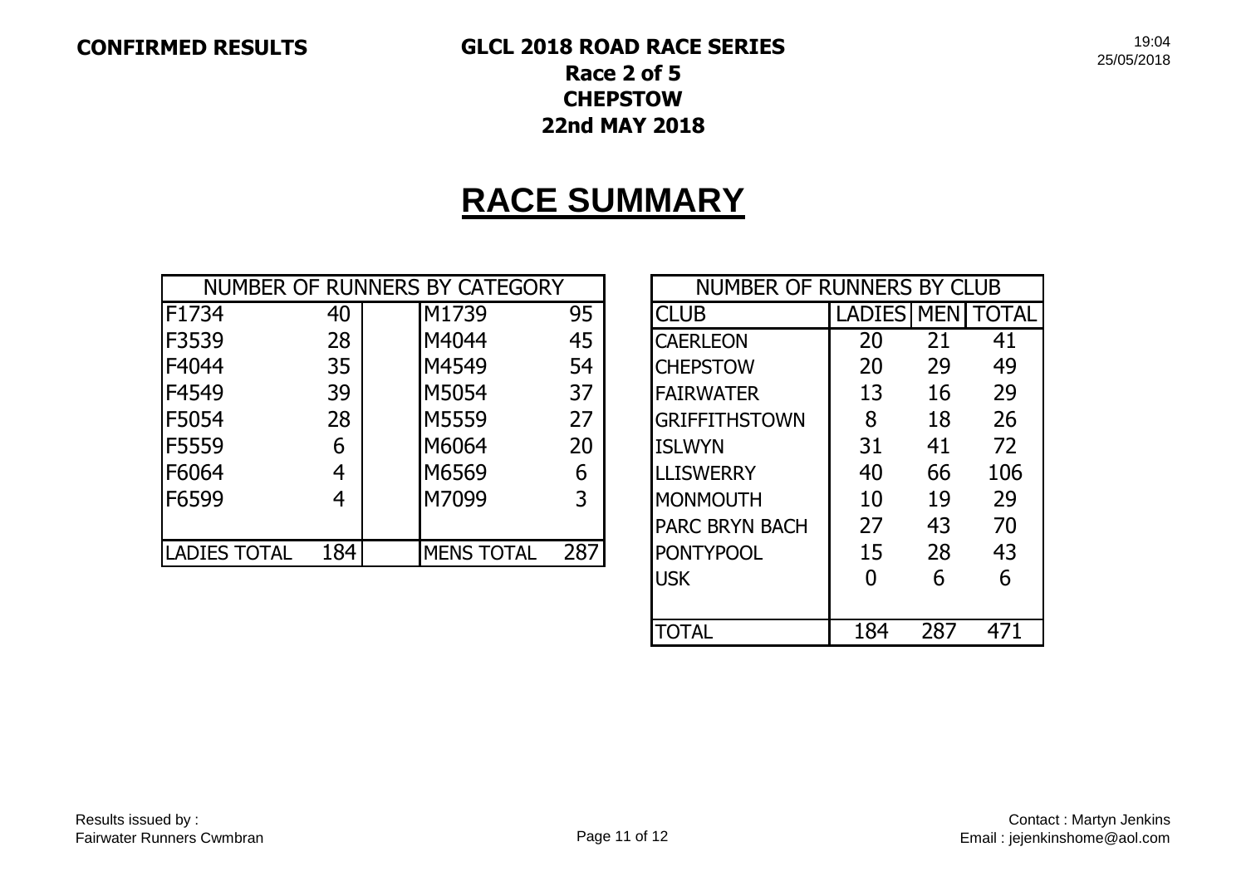# **CONFIRMED RESULTS GLCL 2018 ROAD RACE SERIES Race 2 of 5 CHEPSTOW 22nd MAY 2018**

**RACE SUMMARY**

|                     |     | NUMBER OF RUNNERS BY CATEGORY |     | NUMBER OF RUNNERS BY CLUB |               |            |       |
|---------------------|-----|-------------------------------|-----|---------------------------|---------------|------------|-------|
| F1734               | 40  | M1739                         | 95  | <b>CLUB</b>               | <b>LADIES</b> | <b>MEN</b> | TOTAL |
| F3539               | 28  | M4044                         | 45  | <b>CAERLEON</b>           | 20            | 21         | 41    |
| F4044               | 35  | M4549                         | 54  | <b>CHEPSTOW</b>           | 20            | 29         | 49    |
| F4549               | 39  | M5054                         | 37  | <b>FAIRWATER</b>          | 13            | 16         | 29    |
| F5054               | 28  | <b>M5559</b>                  | 27  | <b>GRIFFITHSTOWN</b>      | 8             | 18         | 26    |
| F5559               | 6   | M6064                         | 20  | <b>ISLWYN</b>             | 31            | 41         | 72    |
| F6064               | 4   | M6569                         | 6   | <b>LLISWERRY</b>          | 40            | 66         | 106   |
| F6599               | 4   | M7099                         | 3   | <b>MONMOUTH</b>           | 10            | 19         | 29    |
|                     |     |                               |     | <b>PARC BRYN BACH</b>     | 27            | 43         | 70    |
| <b>LADIES TOTAL</b> | 184 | <b>MENS TOTAL</b>             | 287 | <b>PONTYPOOL</b>          | 15            | 28         | 43    |

| <b>NUMBER OF RUNNERS BY CLUB</b>         |                   |     |              |  |  |  |  |  |  |
|------------------------------------------|-------------------|-----|--------------|--|--|--|--|--|--|
| <b>CLUB</b>                              | <b>LADIES MEN</b> |     | <b>TOTAL</b> |  |  |  |  |  |  |
| <b>CAERLEON</b>                          | 20                | 21  | 41           |  |  |  |  |  |  |
| <b>CHEPSTOW</b>                          | 20                | 29  | 49           |  |  |  |  |  |  |
| <b>FAIRWATER</b>                         | 13                | 16  | 29           |  |  |  |  |  |  |
| <b>GRIFFITHSTOWN</b>                     | 8                 | 18  | 26           |  |  |  |  |  |  |
| <b>ISLWYN</b>                            | 31                | 41  | 72           |  |  |  |  |  |  |
| <b>LLISWERRY</b>                         | 40                | 66  | 106          |  |  |  |  |  |  |
| <b>MONMOUTH</b>                          | 10                | 19  | 29           |  |  |  |  |  |  |
| <b>PARC BRYN BACH</b>                    | 27                | 43  | 70           |  |  |  |  |  |  |
| <b>PONTYPOOL</b>                         | 15                | 28  | 43           |  |  |  |  |  |  |
| <b>USK</b>                               | O                 | 6   | 6            |  |  |  |  |  |  |
|                                          |                   |     |              |  |  |  |  |  |  |
| $\mathsf{I}(\mathsf{I})$ $\mathsf{I}$ Al | 184               | 287 |              |  |  |  |  |  |  |